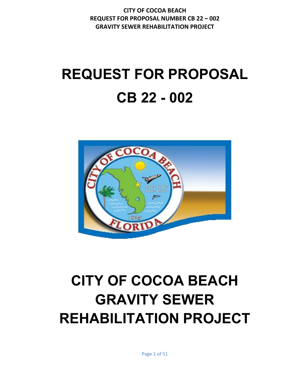# **REQUEST FOR PROPOSAL CB 22 - 002**



# **CITY OF COCOA BEACH GRAVITY SEWER REHABILITATION PROJECT**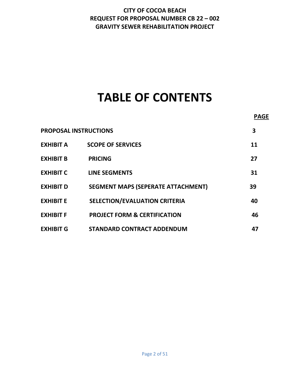# **TABLE OF CONTENTS**

|                              |                                           | <b>PAGE</b> |
|------------------------------|-------------------------------------------|-------------|
| <b>PROPOSAL INSTRUCTIONS</b> |                                           | 3           |
| <b>EXHIBIT A</b>             | <b>SCOPE OF SERVICES</b>                  | 11          |
| <b>EXHIBIT B</b>             | <b>PRICING</b>                            | 27          |
| <b>EXHIBIT C</b>             | <b>LINE SEGMENTS</b>                      | 31          |
| <b>EXHIBIT D</b>             | <b>SEGMENT MAPS (SEPERATE ATTACHMENT)</b> | 39          |
| <b>EXHIBIT E</b>             | <b>SELECTION/EVALUATION CRITERIA</b>      | 40          |
| <b>EXHIBIT F</b>             | <b>PROJECT FORM &amp; CERTIFICATION</b>   | 46          |
| <b>EXHIBIT G</b>             | <b>STANDARD CONTRACT ADDENDUM</b>         | 47          |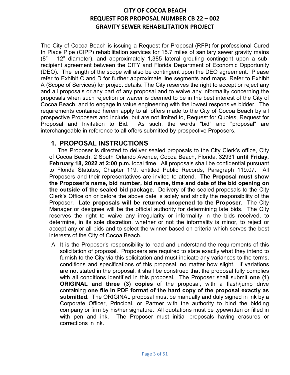The City of Cocoa Beach is issuing a Request for Proposal (RFP) for professional Cured In Place Pipe (CIPP) rehabilitation services for 15.7 miles of sanitary sewer gravity mains (8" – 12" diameter), and approximately 1,385 lateral grouting contingent upon a subrecipient agreement between the CITY and Florida Department of Economic Opportunity (DEO). The length of the scope will also be contingent upon the DEO agreement. Please refer to Exhibit C and D for further approximate line segments and maps. Refer to Exhibit A (Scope of Services) for project details. The City reserves the right to accept or reject any and all proposals or any part of any proposal and to waive any informality concerning the proposals when such rejection or waiver is deemed to be in the best interest of the City of Cocoa Beach, and to engage in value engineering with the lowest responsive bidder. The requirements contained herein apply to all offers made to the City of Cocoa Beach by all prospective Proposers and include, but are not limited to, Request for Quotes, Request for Proposal and Invitation to Bid. As such, the words "bid" and "proposal" are interchangeable in reference to all offers submitted by prospective Proposers.

# **1. PROPOSAL INSTRUCTIONS**

The Proposer is directed to deliver sealed proposals to the City Clerk's office, City of Cocoa Beach, 2 South Orlando Avenue, Cocoa Beach, Florida, 32931 **until Friday, February 18, 2022 at 2:00 p.m.** local time. All proposals shall be confidential pursuant to Florida Statutes, Chapter 119, entitled Public Records, Paragraph 119.07. All Proposers and their representatives are invited to attend. **The Proposal must show the Proposer's name, bid number, bid name, time and date of the bid opening on the outside of the sealed bid package.** Delivery of the sealed proposals to the City Clerk's Office on or before the above date is solely and strictly the responsibility of the Proposer. **Late proposals will be returned unopened to the Proposer**. The City Manager or designee will be the official authority for determining late bids. The City reserves the right to waive any irregularity or informality in the bids received, to determine, in its sole discretion, whether or not the informality is minor, to reject or accept any or all bids and to select the winner based on criteria which serves the best interests of the City of Cocoa Beach.

A. It is the Proposer's responsibility to read and understand the requirements of this solicitation of proposal. Proposers are required to state exactly what they intend to furnish to the City via this solicitation and must indicate any variances to the terms, conditions and specifications of this proposal, no matter how slight. If variations are not stated in the proposal, it shall be construed that the proposal fully complies with all conditions identified in this proposal. The Proposer shall submit **one (1) ORIGINAL and three (3) copies** of the proposal, with a flash/jump drive containing **one file in PDF format of the hard copy of the proposal exactly as submitted.** The ORIGINAL proposal must be manually and duly signed in ink by a Corporate Officer, Principal, or Partner with the authority to bind the bidding company or firm by his/her signature. All quotations must be typewritten or filled in with pen and ink. The Proposer must initial proposals having erasures or corrections in ink.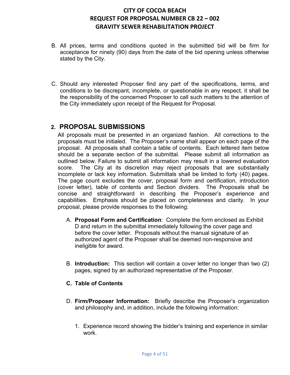- B. All prices, terms and conditions quoted in the submitted bid will be firm for acceptance for ninety (90) days from the date of the bid opening unless otherwise stated by the City.
- C. Should any interested Proposer find any part of the specifications, terms, and conditions to be discrepant, incomplete, or questionable in any respect, it shall be the responsibility of the concerned Proposer to call such matters to the attention of the City immediately upon receipt of the Request for Proposal.

### **2. PROPOSAL SUBMISSIONS**

All proposals must be presented in an organized fashion. All corrections to the proposals must be initialed. The Proposer's name shall appear on each page of the proposal. All proposals shall contain a table of contents. Each lettered item below should be a separate section of the submittal. Please submit all information as outlined below. Failure to submit all information may result in a lowered evaluation score. The City at its discretion may reject proposals that are substantially incomplete or lack key information. Submittals shall be limited to forty (40) pages. The page count excludes the cover, proposal form and certification, introduction (cover letter), table of contents and Section dividers. The Proposals shall be concise and straightforward in describing the Proposer's experience and capabilities. Emphasis should be placed on completeness and clarity. In your proposal, please provide responses to the following:

- A. **Proposal Form and Certification**: Complete the form enclosed as Exhibit D and return in the submittal immediately following the cover page and before the cover letter. Proposals without the manual signature of an authorized agent of the Proposer shall be deemed non-responsive and ineligible for award.
- B. **Introduction:** This section will contain a cover letter no longer than two (2) pages, signed by an authorized representative of the Proposer.

### **C. Table of Contents**

- D. **Firm/Proposer Information:** Briefly describe the Proposer's organization and philosophy and, in addition, include the following information:
	- 1. Experience record showing the bidder's training and experience in similar work.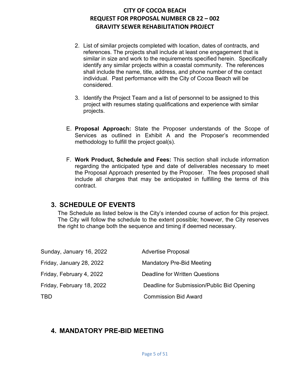- 2. List of similar projects completed with location, dates of contracts, and references. The projects shall include at least one engagement that is similar in size and work to the requirements specified herein. Specifically identify any similar projects within a coastal community. The references shall include the name, title, address, and phone number of the contact individual. Past performance with the City of Cocoa Beach will be considered.
- 3. Identify the Project Team and a list of personnel to be assigned to this project with resumes stating qualifications and experience with similar projects.
- E. **Proposal Approach:** State the Proposer understands of the Scope of Services as outlined in Exhibit A and the Proposer's recommended methodology to fulfill the project goal(s).
- F. **Work Product, Schedule and Fees:** This section shall include information regarding the anticipated type and date of deliverables necessary to meet the Proposal Approach presented by the Proposer. The fees proposed shall include all charges that may be anticipated in fulfilling the terms of this contract.

# **3. SCHEDULE OF EVENTS**

The Schedule as listed below is the City's intended course of action for this project. The City will follow the schedule to the extent possible; however, the City reserves the right to change both the sequence and timing if deemed necessary.

| Sunday, January 16, 2022  | <b>Advertise Proposal</b>                  |
|---------------------------|--------------------------------------------|
| Friday, January 28, 2022  | <b>Mandatory Pre-Bid Meeting</b>           |
| Friday, February 4, 2022  | Deadline for Written Questions             |
| Friday, February 18, 2022 | Deadline for Submission/Public Bid Opening |
| TBD                       | <b>Commission Bid Award</b>                |

# **4. MANDATORY PRE-BID MEETING**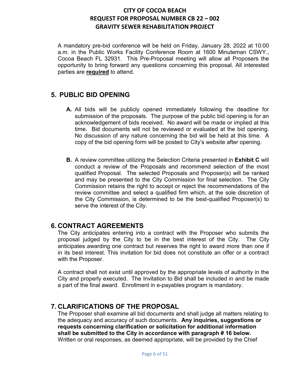A mandatory pre-bid conference will be held on Friday, January 28, 2022 at 10:00 a.m. in the Public Works Facility Conference Room at 1600 Minuteman CSWY., Cocoa Beach FL 32931. This Pre-Proposal meeting will allow all Proposers the opportunity to bring forward any questions concerning this proposal. All interested parties are **required** to attend.

## **5. PUBLIC BID OPENING**

- **A.** All bids will be publicly opened immediately following the deadline for submission of the proposals. The purpose of the public bid opening is for an acknowledgement of bids received. No award will be made or implied at this time. Bid documents will not be reviewed or evaluated at the bid opening. No discussion of any nature concerning the bid will be held at this time. A copy of the bid opening form will be posted to City's website after opening.
- **B.** A review committee utilizing the Selection Criteria presented in **Exhibit C** will conduct a review of the Proposals and recommend selection of the most qualified Proposal. The selected Proposals and Proposer(s) will be ranked and may be presented to the City Commission for final selection. The City Commission retains the right to accept or reject the recommendations of the review committee and select a qualified firm which, at the sole discretion of the City Commission, is determined to be the best-qualified Proposer(s) to serve the interest of the City.

# **6. CONTRACT AGREEMENTS**

The City anticipates entering into a contract with the Proposer who submits the proposal judged by the City to be in the best interest of the City. The City anticipates awarding one contract but reserves the right to award more than one if in its best interest. This invitation for bid does not constitute an offer or a contract with the Proposer.

A contract shall not exist until approved by the appropriate levels of authority in the City and properly executed. The Invitation to Bid shall be included in and be made a part of the final award. Enrollment in e-payables program is mandatory.

# **7. CLARIFICATIONS OF THE PROPOSAL**

The Proposer shall examine all bid documents and shall judge all matters relating to the adequacy and accuracy of such documents. **Any inquiries, suggestions or requests concerning clarification or solicitation for additional information shall be submitted to the City in accordance with paragraph # 16 below.**  Written or oral responses, as deemed appropriate, will be provided by the Chief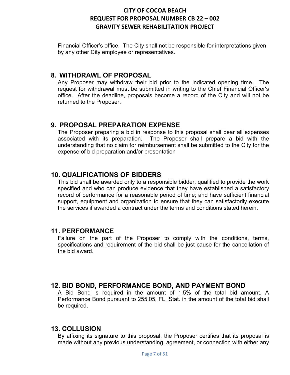Financial Officer's office. The City shall not be responsible for interpretations given by any other City employee or representatives.

### **8. WITHDRAWL OF PROPOSAL**

Any Proposer may withdraw their bid prior to the indicated opening time. The request for withdrawal must be submitted in writing to the Chief Financial Officer's office. After the deadline, proposals become a record of the City and will not be returned to the Proposer.

# **9. PROPOSAL PREPARATION EXPENSE**

The Proposer preparing a bid in response to this proposal shall bear all expenses associated with its preparation. The Proposer shall prepare a bid with the understanding that no claim for reimbursement shall be submitted to the City for the expense of bid preparation and/or presentation

# **10. QUALIFICATIONS OF BIDDERS**

This bid shall be awarded only to a responsible bidder, qualified to provide the work specified and who can produce evidence that they have established a satisfactory record of performance for a reasonable period of time; and have sufficient financial support, equipment and organization to ensure that they can satisfactorily execute the services if awarded a contract under the terms and conditions stated herein.

# **11. PERFORMANCE**

Failure on the part of the Proposer to comply with the conditions, terms, specifications and requirement of the bid shall be just cause for the cancellation of the bid award.

# **12. BID BOND, PERFORMANCE BOND, AND PAYMENT BOND**

A Bid Bond is required in the amount of 1.5% of the total bid amount. A Performance Bond pursuant to 255.05, FL. Stat. in the amount of the total bid shall be required.

# **13. COLLUSION**

By affixing its signature to this proposal, the Proposer certifies that its proposal is made without any previous understanding, agreement, or connection with either any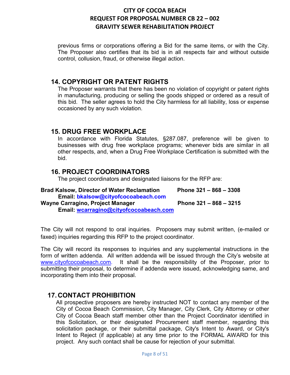previous firms or corporations offering a Bid for the same items, or with the City. The Proposer also certifies that its bid is in all respects fair and without outside control, collusion, fraud, or otherwise illegal action.

## **14. COPYRIGHT OR PATENT RIGHTS**

The Proposer warrants that there has been no violation of copyright or patent rights in manufacturing, producing or selling the goods shipped or ordered as a result of this bid. The seller agrees to hold the City harmless for all liability, loss or expense occasioned by any such violation.

### **15. DRUG FREE WORKPLACE**

In accordance with Florida Statutes, §287.087, preference will be given to businesses with drug free workplace programs; whenever bids are similar in all other respects, and, when a Drug Free Workplace Certification is submitted with the bid.

### **16. PROJECT COORDINATORS**

The project coordinators and designated liaisons for the RFP are:

| <b>Brad Kalsow, Director of Water Reclamation</b> | Phone $321 - 868 - 3308$ |
|---------------------------------------------------|--------------------------|
| Email: bkalsow@cityofcocoabeach.com               |                          |
| <b>Wayne Carragino, Project Manager</b>           | Phone $321 - 868 - 3215$ |
| Email: wcarragino@cityofcocoabeach.com            |                          |

The City will not respond to oral inquiries. Proposers may submit written, (e-mailed or faxed) inquiries regarding this RFP to the project coordinator.

The City will record its responses to inquiries and any supplemental instructions in the form of written addenda. All written addenda will be issued through the City's website at [www.cityofcocoabeach.com.](http://www.cityofcocoabeach.com/) It shall be the responsibility of the Proposer, prior to submitting their proposal, to determine if addenda were issued, acknowledging same, and incorporating them into their proposal.

# **17. CONTACT PROHIBITION**

All prospective proposers are hereby instructed NOT to contact any member of the City of Cocoa Beach Commission, City Manager, City Clerk, City Attorney or other City of Cocoa Beach staff member other than the Project Coordinator identified in this Solicitation, or their designated Procurement staff member, regarding this solicitation package, or their submittal package, City's Intent to Award, or City's Intent to Reject (if applicable) at any time prior to the FORMAL AWARD for this project. Any such contact shall be cause for rejection of your submittal.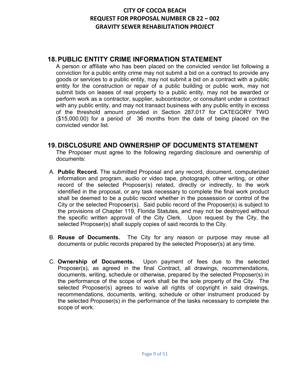# **18.PUBLIC ENTITY CRIME INFORMATION STATEMENT**

A person or affiliate who has been placed on the convicted vendor list following a conviction for a public entity crime may not submit a bid on a contract to provide any goods or services to a public entity, may not submit a bid on a contract with a public entity for the construction or repair of a public building or public work, may not submit bids on leases of real property to a public entity, may not be awarded or perform work as a contractor, supplier, subcontractor, or consultant under a contract with any public entity, and may not transact business with any public entity in excess of the threshold amount provided in Section 287.017 for CATEGORY TWO (\$15,000.00) for a period of 36 months from the date of being placed on the convicted vendor list.

# **19. DISCLOSURE AND OWNERSHIP OF DOCUMENTS STATEMENT**

The Proposer must agree to the following regarding disclosure and ownership of documents:

- A. **Public Record.** The submitted Proposal and any record, document, computerized information and program, audio or video tape, photograph, other writing, or other record of the selected Proposer(s) related, directly or indirectly, to the work identified in the proposal, or any task necessary to complete the final work product shall be deemed to be a public record whether in the possession or control of the City or the selected Proposer(s). Said public record of the Proposer(s) is subject to the provisions of Chapter 119, Florida Statutes, and may not be destroyed without the specific written approval of the City Clerk. Upon request by the City, the selected Proposer(s) shall supply copies of said records to the City.
- B. **Reuse of Documents.** The City for any reason or purpose may reuse all documents or public records prepared by the selected Proposer(s) at any time.
- C. **Ownership of Documents.** Upon payment of fees due to the selected Proposer(s), as agreed in the final Contract, all drawings, recommendations, documents, writing, schedule or otherwise, prepared by the selected Proposer(s) in the performance of the scope of work shall be the sole property of the City. The selected Proposer(s) agrees to waive all rights of copyright in said drawings, recommendations, documents, writing, schedule or other instrument produced by the selected Proposer(s) in the performance of the tasks necessary to complete the scope of work.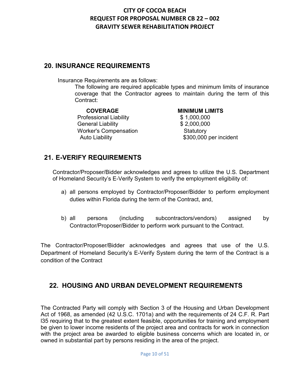# **20. INSURANCE REQUIREMENTS**

Insurance Requirements are as follows:

The following are required applicable types and minimum limits of insurance coverage that the Contractor agrees to maintain during the term of this Contract:

**COVERAGE MINIMUM LIMITS** Professional Liability General Liability  $$2,000,000$ Worker's Compensation **Statutory** 

Auto Liability **Auto** S300,000 per incident

# **21. E-VERIFY REQUIREMENTS**

Contractor/Proposer/Bidder acknowledges and agrees to utilize the U.S. Department of Homeland Security's E-Verify System to verify the employment eligibility of:

- a) all persons employed by Contractor/Proposer/Bidder to perform employment duties within Florida during the term of the Contract, and,
- b) all persons (including subcontractors/vendors) assigned by Contractor/Proposer/Bidder to perform work pursuant to the Contract.

The Contractor/Proposer/Bidder acknowledges and agrees that use of the U.S. Department of Homeland Security's E-Verify System during the term of the Contract is a condition of the Contract

# **22. HOUSING AND URBAN DEVELOPMENT REQUIREMENTS**

The Contracted Party will comply with Section 3 of the Housing and Urban Development Act of 1968, as amended (42 U.S.C. 1701a) and with the requirements of 24 C.F. R. Part l35 requiring that to the greatest extent feasible, opportunities for training and employment be given to lower income residents of the project area and contracts for work in connection with the project area be awarded to eligible business concerns which are located in, or owned in substantial part by persons residing in the area of the project.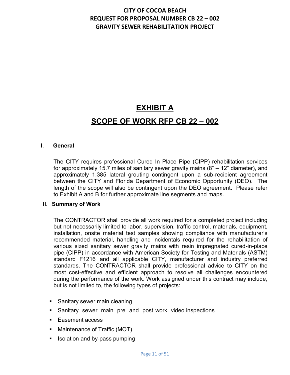# **EXHIBIT A SCOPE OF WORK RFP CB 22 – 002**

### **I**. **General**

The CITY requires professional Cured In Place Pipe (CIPP) rehabilitation services for approximately 15.7 miles of sanitary sewer gravity mains (8" – 12" diameter), and approximately 1,385 lateral grouting contingent upon a sub-recipient agreement between the CITY and Florida Department of Economic Opportunity (DEO). The length of the scope will also be contingent upon the DEO agreement. Please refer to Exhibit A and B for further approximate line segments and maps.

### **II. Summary of Work**

The CONTRACTOR shall provide all work required for a completed project including but not necessarily limited to labor, supervision, traffic control, materials, equipment, installation, onsite material test samples showing compliance with manufacturer's recommended material, handling and incidentals required for the rehabilitation of various sized sanitary sewer gravity mains with resin impregnated cured-in-place pipe (CIPP) in accordance with American Society for Testing and Materials (ASTM) standard F1216 and all applicable CITY, manufacturer and industry preferred standards. The CONTRACTOR shall provide professional advice to CITY on the most cost-effective and efficient approach to resolve all challenges encountered during the performance of the work. Work assigned under this contract may include, but is not limited to, the following types of projects:

- Sanitary sewer main cleaning
- Sanitary sewer main pre and post work video inspections
- Easement access
- Maintenance of Traffic (MOT)
- Isolation and by-pass pumping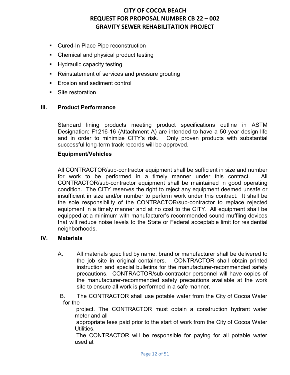- **Cured-In Place Pipe reconstruction**
- Chemical and physical product testing
- **Hydraulic capacity testing**
- Reinstatement of services and pressure grouting
- Erosion and sediment control
- Site restoration

### **III. Product Performance**

Standard lining products meeting product specifications outline in ASTM Designation: F1216-16 (Attachment A) are intended to have a 50-year design life and in order to minimize CITY's risk. Only proven products with substantial successful long-term track records will be approved.

### **Equipment/Vehicles**

All CONTRACTOR/sub-contractor equipment shall be sufficient in size and number for work to be performed in a timely manner under this contract. CONTRACTOR/sub-contractor equipment shall be maintained in good operating condition. The CITY reserves the right to reject any equipment deemed unsafe or insufficient in size and/or number to perform work under this contract. It shall be the sole responsibility of the CONTRACTOR/sub-contractor to replace rejected equipment in a timely manner and at no cost to the CITY. All equipment shall be equipped at a minimum with manufacturer's recommended sound muffling devices that will reduce noise levels to the State or Federal acceptable limit for residential neighborhoods.

### **IV. Materials**

A. All materials specified by name, brand or manufacturer shall be delivered to the job site in original containers. CONTRACTOR shall obtain printed instruction and special bulletins for the manufacturer-recommended safety precautions. CONTRACTOR/sub-contractor personnel will have copies of the manufacturer-recommended safety precautions available at the work site to ensure all work is performed in a safe manner.

B. The CONTRACTOR shall use potable water from the City of Cocoa Water for the

project. The CONTRACTOR must obtain a construction hydrant water meter and all

appropriate fees paid prior to the start of work from the City of Cocoa Water Utilities.

The CONTRACTOR will be responsible for paying for all potable water used at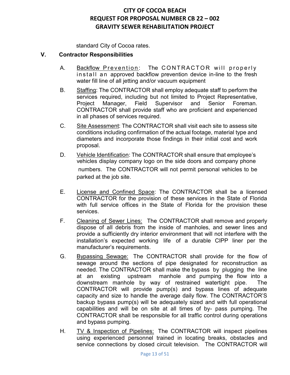standard City of Cocoa rates.

### **V. Contractor Responsibilities**

- A. Backflow Prevention: The CONTRACTOR will properly install an approved backflow prevention device in-line to the fresh water fill line of all jetting and/or vacuum equipment
- B. Staffing: The CONTRACTOR shall employ adequate staff to perform the services required, including but not limited to Project Representative, Project Manager, Field Supervisor and Senior Foreman. CONTRACTOR shall provide staff who are proficient and experienced in all phases of services required.
- C. Site Assessment: The CONTRACTOR shall visit each site to assess site conditions including confirmation of the actual footage, material type and diameters and incorporate those findings in their initial cost and work proposal.
- D. Vehicle Identification: The CONTRACTOR shall ensure that employee's vehicles display company logo on the side doors and company phone numbers. The CONTRACTOR will not permit personal vehicles to be parked at the job site.
- E. License and Confined Space: The CONTRACTOR shall be a licensed CONTRACTOR for the provision of these services in the State of Florida with full service offices in the State of Florida for the provision these services.
- F. Cleaning of Sewer Lines: The CONTRACTOR shall remove and properly dispose of all debris from the inside of manholes, and sewer lines and provide a sufficiently dry interior environment that will not interfere with the installation's expected working life of a durable CIPP liner per the manufacturer's requirements.
- G. Bypassing Sewage: The CONTRACTOR shall provide for the flow of sewage around the sections of pipe designated for reconstruction as needed. The CONTRACTOR shall make the bypass by plugging the line at an existing upstream manhole and pumping the flow into a downstream manhole by way of restrained watertight pipe. The CONTRACTOR will provide pump(s) and bypass lines of adequate capacity and size to handle the average daily flow. The CONTRACTOR'S backup bypass pump(s) will be adequately sized and with full operational capabilities and will be on site at all times of by- pass pumping. The CONTRACTOR shall be responsible for all traffic control during operations and bypass pumping.
- H. TV & Inspection of Pipelines: The CONTRACTOR will inspect pipelines using experienced personnel trained in locating breaks, obstacles and service connections by closed circuit television. The CONTRACTOR will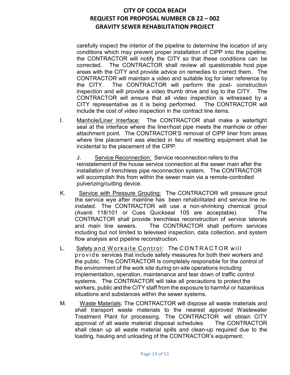carefully inspect the interior of the pipeline to determine the location of any conditions which may prevent proper installation of CIPP into the pipeline; the CONTRACTOR will notify the CITY so that these conditions can be corrected. The CONTRACTOR shall review all questionable host pipe areas with the CITY and provide advice on remedies to correct them. The CONTRACTOR will maintain a video and suitable log for later reference by the CITY. The CONTRACTOR will perform the post- construction inspection and will provide a video thumb drive and log to the CITY. The CONTRACTOR will ensure that all video inspection is witnessed by a CITY representative as it is being performed. The CONTRACTOR will include the cost of video inspection in the contract line items.

I. Manhole/Liner Interface: The CONTRACTOR shall make a watertight seal at the interface where the liner/host pipe meets the manhole or other attachment point. The CONTRACTOR'S removal of CIPP liner from areas where line placement was elected in lieu of resetting equipment shall be incidental to the placement of the CIPP.

J. Service Reconnection: Service reconnection refers to the reinstatement of the house service connection at the sewer main after the installation of trenchless pipe reconnection system. The CONTRACTOR will accomplish this from within the sewer main via a remote-controlled pulverizing/cutting device.

- K. Service with Pressure Grouting: The CONTRACTOR will pressure grout the service wye after mainline has been rehabilitated and service line reinstated. The CONTRACTOR will use a non-shrinking chemical grout (Avanti 118/101 or Cues Quickseal 105 are acceptable). The CONTRACTOR shall provide trenchless reconstruction of service laterals and main line sewers. The CONTRACTOR shall perform services including but not limited to televised inspection, data collection, and system flow analysis and pipeline reconstruction.
- L. Safety and Worksite Control: The CONTRACTOR will provide services that include safety measures for both their workers and the public. The CONTRACTOR is completely responsible for the control of the environment of the work site during on-site operations including implementation, operation, maintenance and tear down of traffic control systems. The CONTRACTOR will take all precautions to protect the workers, public and the CITY staff from the exposure to harmful or hazardous situations and substances within the sewer systems.
- M. Waste Materials: The CONTRACTOR will dispose all waste materials and shall transport waste materials to the nearest approved Wastewater Treatment Plant for processing. The CONTRACTOR will obtain CITY approval of all waste material disposal schedules. The CONTRACTOR shall clean up all waste material spills and clean-up required due to the loading, hauling and unloading of the CONTRACTOR's equipment.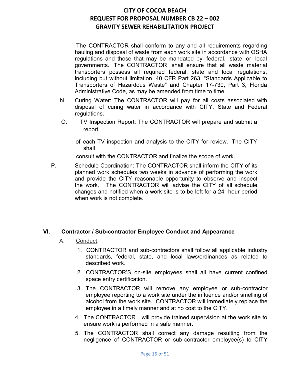The CONTRACTOR shall conform to any and all requirements regarding hauling and disposal of waste from each work site in accordance with OSHA regulations and those that may be mandated by federal, state or local governments. The CONTRACTOR shall ensure that all waste material transporters possess all required federal, state and local regulations, including but without limitation, 40 CFR Part 263, "Standards Applicable to Transporters of Hazardous Waste" and Chapter 17-730, Part 3, Florida Administrative Code, as may be amended from time to time.

- N. Curing Water: The CONTRACTOR will pay for all costs associated with disposal of curing water in accordance with CITY, State and Federal regulations.
- O. TV Inspection Report: The CONTRACTOR will prepare and submit a report
	- of each TV inspection and analysis to the CITY for review. The CITY shall

consult with the CONTRACTOR and finalize the scope of work.

P. Schedule Coordination: The CONTRACTOR shall inform the CITY of its planned work schedules two weeks in advance of performing the work and provide the CITY reasonable opportunity to observe and inspect the work. The CONTRACTOR will advise the CITY of all schedule changes and notified when a work site is to be left for a 24- hour period when work is not complete.

### **VI. Contractor / Sub-contractor Employee Conduct and Appearance**

- A. Conduct:
	- 1. CONTRACTOR and sub-contractors shall follow all applicable industry standards, federal, state, and local laws/ordinances as related to described work.
	- 2. CONTRACTOR'S on-site employees shall all have current confined space entry certification.
	- 3. The CONTRACTOR will remove any employee or sub-contractor employee reporting to a work site under the influence and/or smelling of alcohol from the work site. CONTRACTOR will immediately replace the employee in a timely manner and at no cost to the CITY.
	- 4. The CONTRACTOR will provide trained supervision at the work site to ensure work is performed in a safe manner.
	- 5. The CONTRACTOR shall correct any damage resulting from the negligence of CONTRACTOR or sub-contractor employee(s) to CITY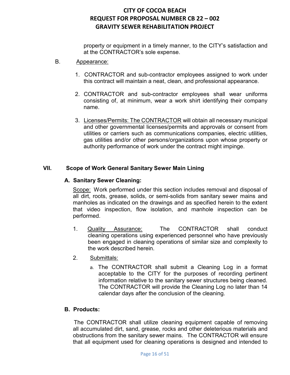property or equipment in a timely manner, to the CITY's satisfaction and at the CONTRACTOR's sole expense.

- B. Appearance:
	- 1. CONTRACTOR and sub-contractor employees assigned to work under this contract will maintain a neat, clean, and professional appearance.
	- 2. CONTRACTOR and sub-contractor employees shall wear uniforms consisting of, at minimum, wear a work shirt identifying their company name.
	- 3. Licenses/Permits: The CONTRACTOR will obtain all necessary municipal and other governmental licenses/permits and approvals or consent from utilities or carriers such as communications companies, electric utilities, gas utilities and/or other persons/organizations upon whose property or authority performance of work under the contract might impinge.

### **VII. Scope of Work General Sanitary Sewer Main Lining**

### **A. Sanitary Sewer Cleaning:**

Scope: Work performed under this section includes removal and disposal of all dirt, roots, grease, solids, or semi-solids from sanitary sewer mains and manholes as indicated on the drawings and as specified herein to the extent that video inspection, flow isolation, and manhole inspection can be performed.

- 1. Quality Assurance: The CONTRACTOR shall conduct cleaning operations using experienced personnel who have previously been engaged in cleaning operations of similar size and complexity to the work described herein.
- 2. Submittals:
	- a. The CONTRACTOR shall submit a Cleaning Log in a format acceptable to the CITY for the purposes of recording pertinent information relative to the sanitary sewer structures being cleaned. The CONTRACTOR will provide the Cleaning Log no later than 14 calendar days after the conclusion of the cleaning.

### **B. Products:**

 The CONTRACTOR shall utilize cleaning equipment capable of removing all accumulated dirt, sand, grease, rocks and other deleterious materials and obstructions from the sanitary sewer mains. The CONTRACTOR will ensure that all equipment used for cleaning operations is designed and intended to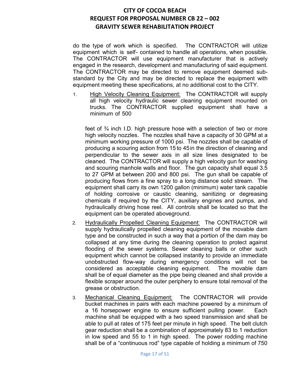do the type of work which is specified. The CONTRACTOR will utilize equipment which is self- contained to handle all operations, when possible. The CONTRACTOR will use equipment manufacturer that is actively engaged in the research, development and manufacturing of said equipment. The CONTRACTOR may be directed to remove equipment deemed substandard by the City and may be directed to replace the equipment with equipment meeting these specifications, at no additional cost to the CITY.

1. High Velocity Cleaning Equipment: The CONTRACTOR will supply all high velocity hydraulic sewer cleaning equipment mounted on trucks. The CONTRACTOR supplied equipment shall have a minimum of 500

feet of ¾ inch I.D. high pressure hose with a selection of two or more high velocity nozzles. The nozzles shall have a capacity of 30 GPM at a minimum working pressure of 1000 psi. The nozzles shall be capable of producing a scouring action from 15 to 45in the direction of cleaning and perpendicular to the sewer axis in all size lines designated to be cleaned. The CONTRACTOR will supply a high velocity gun for washing and scouring manhole walls and floor. The gun capacity shall equal 3.5 to 27 GPM at between 200 and 800 psi. The gun shall be capable of producing flows from a fine spray to a long distance solid stream. The equipment shall carry its own 1200 gallon (minimum) water tank capable of holding corrosive or caustic cleaning, sanitizing or degreasing chemicals if required by the CITY, auxiliary engines and pumps, and hydraulically driving hose reel. All controls shall be located so that the equipment can be operated aboveground.

- 2. Hydraulically Propelled Cleaning Equipment: The CONTRACTOR will supply hydraulically propelled cleaning equipment of the movable dam type and be constructed in such a way that a portion of the dam may be collapsed at any time during the cleaning operation to protect against flooding of the sewer systems. Sewer cleaning balls or other such equipment which cannot be collapsed instantly to provide an immediate unobstructed flow-way during emergency conditions will not be considered as acceptable cleaning equipment. The movable dam shall be of equal diameter as the pipe being cleaned and shall provide a flexible scraper around the outer periphery to ensure total removal of the grease or obstruction.
- 3. Mechanical Cleaning Equipment: The CONTRACTOR will provide bucket machines in pairs with each machine powered by a minimum of a 16 horsepower engine to ensure sufficient pulling power. Each machine shall be equipped with a two speed transmission and shall be able to pull at rates of 175 feet per minute in high speed. The belt clutch gear reduction shall be a combination of approximately 83 to 1 reduction in low speed and 55 to 1 in high speed. The power rodding machine shall be of a "continuous rod" type capable of holding a minimum of 750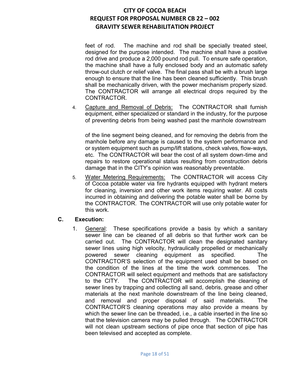feet of rod. The machine and rod shall be specially treated steel, designed for the purpose intended. The machine shall have a positive rod drive and produce a 2,000 pound rod pull. To ensure safe operation, the machine shall have a fully enclosed body and an automatic safety throw-out clutch or relief valve. The final pass shall be with a brush large enough to ensure that the line has been cleaned sufficiently. This brush shall be mechanically driven, with the power mechanism properly sized. The CONTRACTOR will arrange all electrical drops required by the CONTRACTOR.

4. Capture and Removal of Debris: The CONTRACTOR shall furnish equipment, either specialized or standard in the industry, for the purpose of preventing debris from being washed past the manhole downstream

of the line segment being cleaned, and for removing the debris from the manhole before any damage is caused to the system performance and or system equipment such as pump/lift stations, check valves, flow-ways, etc. The CONTRACTOR will bear the cost of all system down-time and repairs to restore operational status resulting from construction debris damage that in the CITY's opinion was reasonably preventable.

5. Water Metering Requirements: The CONTRACTOR will access City of Cocoa potable water via fire hydrants equipped with hydrant meters for cleaning, inversion and other work items requiring water. All costs incurred in obtaining and delivering the potable water shall be borne by the CONTRACTOR. The CONTRACTOR will use only potable water for this work.

### **C. Execution:**

1. General: These specifications provide a basis by which a sanitary sewer line can be cleaned of all debris so that further work can be carried out. The CONTRACTOR will clean the designated sanitary sewer lines using high velocity, hydraulically propelled or mechanically powered sewer cleaning equipment as specified. The CONTRACTOR'S selection of the equipment used shall be based on the condition of the lines at the time the work commences. The CONTRACTOR will select equipment and methods that are satisfactory to the CITY. The CONTRACTOR will accomplish the cleaning of sewer lines by trapping and collecting all sand, debris, grease and other materials at the next manhole downstream of the line being cleaned, and removal and proper disposal of said materials. The CONTRACTOR'S cleaning operations may also provide a means by which the sewer line can be threaded, i.e., a cable inserted in the line so that the television camera may be pulled through. The CONTRACTOR will not clean upstream sections of pipe once that section of pipe has been televised and accepted as complete.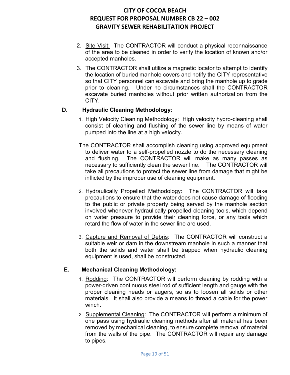- 2. Site Visit: The CONTRACTOR will conduct a physical reconnaissance of the area to be cleaned in order to verify the location of known and/or accepted manholes.
- 3. The CONTRACTOR shall utilize a magnetic locator to attempt to identify the location of buried manhole covers and notify the CITY representative so that CITY personnel can excavate and bring the manhole up to grade prior to cleaning. Under no circumstances shall the CONTRACTOR excavate buried manholes without prior written authorization from the CITY.

### **D. Hydraulic Cleaning Methodology:**

- 1. High Velocity Cleaning Methodology: High velocity hydro-cleaning shall consist of cleaning and flushing of the sewer line by means of water pumped into the line at a high velocity.
- The CONTRACTOR shall accomplish cleaning using approved equipment to deliver water to a self-propelled nozzle to do the necessary cleaning and flushing. The CONTRACTOR will make as many passes as necessary to sufficiently clean the sewer line. The CONTRACTOR will take all precautions to protect the sewer line from damage that might be inflicted by the improper use of cleaning equipment.
- 2. Hydraulically Propelled Methodology: The CONTRACTOR will take precautions to ensure that the water does not cause damage of flooding to the public or private property being served by the manhole section involved whenever hydraulically propelled cleaning tools, which depend on water pressure to provide their cleaning force, or any tools which retard the flow of water in the sewer line are used.
- 3. Capture and Removal of Debris: The CONTRACTOR will construct a suitable weir or dam in the downstream manhole in such a manner that both the solids and water shall be trapped when hydraulic cleaning equipment is used, shall be constructed.

### **E. Mechanical Cleaning Methodology:**

- 1. Rodding: The CONTRACTOR will perform cleaning by rodding with a power-driven continuous steel rod of sufficient length and gauge with the proper cleaning heads or augers, so as to loosen all solids or other materials. It shall also provide a means to thread a cable for the power winch.
- 2. Supplemental Cleaning: The CONTRACTOR will perform a minimum of one pass using hydraulic cleaning methods after all material has been removed by mechanical cleaning, to ensure complete removal of material from the walls of the pipe. The CONTRACTOR will repair any damage to pipes.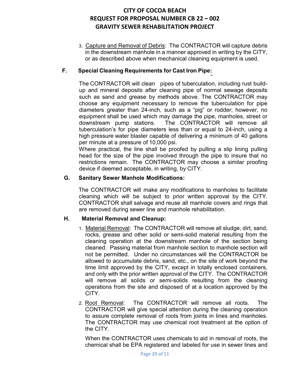3. Capture and Removal of Debris: The CONTRACTOR will capture debris in the downstream manhole in a manner approved in writing by the CITY, or as described above when mechanical cleaning equipment is used.

### **F. Special Cleaning Requirements for Cast Iron Pipe:**

The CONTRACTOR will clean pipes of tuberculation, including rust buildup and mineral deposits after cleaning pipe of normal sewage deposits such as sand and grease by methods above. The CONTRACTOR may choose any equipment necessary to remove the tuberculation for pipe diameters greater than 24-inch, such as a "pig" or rodder; however, no equipment shall be used which may damage the pipe, manholes, street or downstream pump stations. The CONTRACTOR will remove all tuberculation's for pipe diameters less than or equal to 24-inch, using a high pressure water blaster capable of delivering a minimum of 40 gallons per minute at a pressure of 10,000 psi.

Where practical, the line shall be proofed by pulling a slip lining pulling head for the size of the pipe involved through the pipe to insure that no restrictions remain. The CONTRACTOR may choose a similar proofing device if deemed acceptable, in writing, by CITY.

### **G. Sanitary Sewer Manhole Modifications:**

The CONTRACTOR will make any modifications to manholes to facilitate cleaning which will be subject to prior written approval by the CITY. CONTRACTOR shall salvage and reuse all manhole covers and rings that are removed during sewer line and manhole rehabilitation.

### **H. Material Removal and Cleanup:**

- 1. Material Removal: The CONTRACTOR will remove all sludge, dirt, sand, rocks, grease and other solid or semi-solid material resulting from the cleaning operation at the downstream manhole of the section being cleaned. Passing material from manhole section to manhole section will not be permitted. Under no circumstances will the CONTRACTOR be allowed to accumulate debris, sand, etc., on the site of work beyond the time limit approved by the CITY, except in totally enclosed containers, and only with the prior written approval of the CITY. The CONTRACTOR will remove all solids or semi-solids resulting from the cleaning operations from the site and disposed of at a location approved by the CITY.
- 2. Root Removal: The CONTRACTOR will remove all roots. The CONTRACTOR will give special attention during the cleaning operation to assure complete removal of roots from joints in lines and manholes. The CONTRACTOR may use chemical root treatment at the option of the CITY.

When the CONTRACTOR uses chemicals to aid in removal of roots, the chemical shall be EPA registered and labeled for use in sewer lines and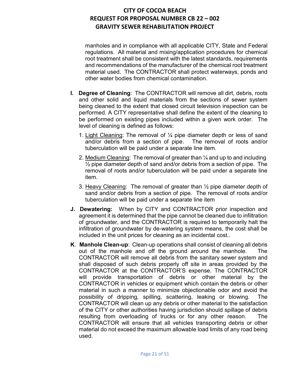manholes and in compliance with all applicable CITY, State and Federal regulations. All material and mixing/application procedures for chemical root treatment shall be consistent with the latest standards, requirements and recommendations of the manufacturer of the chemical root treatment material used. The CONTRACTOR shall protect waterways, ponds and other water bodies from chemical contamination.

- **I. Degree of Cleaning**: The CONTRACTOR will remove all dirt, debris, roots and other solid and liquid materials from the sections of sewer system being cleaned to the extent that closed circuit television inspection can be performed. A CITY representative shall define the extent of the cleaning to be performed on existing pipes included within a given work order. The level of cleaning is defined as follows:
	- 1. Light Cleaning: The removal of  $\frac{1}{4}$  pipe diameter depth or less of sand and/or debris from a section of pipe. The removal of roots and/or tuberculation will be paid under a separate line item.
	- 2. Medium Cleaning: The removal of greater than ¼ and up to and including  $\frac{1}{2}$  pipe diameter depth of sand and/or debris from a section of pipe. The removal of roots and/or tuberculation will be paid under a separate line item.
	- 3. Heavy Cleaning: The removal of greater than  $\frac{1}{2}$  pipe diameter depth of sand and/or debris from a section of pipe. The removal of roots and/or tuberculation will be paid under a separate line item
- **J. Dewatering:** When by CITY and CONTRACTOR prior inspection and agreement it is determined that the pipe cannot be cleaned due to infiltration of groundwater, and the CONTRACTOR is required to temporarily halt the infiltration of groundwater by de-watering system means, the cost shall be included in the unit prices for cleaning as an incidental cost..
- **K**. **Manhole Clean-up**: Clean-up operations shall consist of cleaning all debris out of the manhole and off the ground around the manhole. The CONTRACTOR will remove all debris from the sanitary sewer system and shall disposed of such debris properly off site in areas provided by the CONTRACTOR at the CONTRACTOR'S expense. The CONTRACTOR will provide transportation of debris or other material by the CONTRACTOR in vehicles or equipment which contain the debris or other material in such a manner to minimize objectionable odor and avoid the possibility of dripping, spilling, scattering, leaking or blowing. The CONTRACTOR will clean up any debris or other material to the satisfaction of the CITY or other authorities having jurisdiction should spillage of debris resulting from overloading of trucks or for any other reason. The CONTRACTOR will ensure that all vehicles transporting debris or other material do not exceed the maximum allowable load limits of any road being used.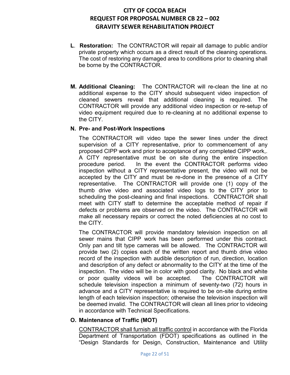- **L**. **Restoration:** The CONTRACTOR will repair all damage to public and/or private property which occurs as a direct result of the cleaning operations. The cost of restoring any damaged area to conditions prior to cleaning shall be borne by the CONTRACTOR.
- **M. Additional Cleaning:** The CONTRACTOR will re-clean the line at no additional expense to the CITY should subsequent video inspection of cleaned sewers reveal that additional cleaning is required. The CONTRACTOR will provide any additional video inspection or re-setup of video equipment required due to re-cleaning at no additional expense to the CITY.

### **N. Pre- and Post-Work Inspections**

The CONTRACTOR will video tape the sewer lines under the direct supervision of a CITY representative, prior to commencement of any proposed CIPP work and prior to acceptance of any completed CIPP work,. A CITY representative must be on site during the entire inspection procedure period. In the event the CONTRACTOR performs video inspection without a CITY representative present, the video will not be accepted by the CITY and must be re-done in the presence of a CITY representative. The CONTRACTOR will provide one (1) copy of the thumb drive video and associated video logs to the CITY prior to scheduling the post-cleaning and final inspections. CONTRACTOR shall meet with CITY staff to determine the acceptable method of repair if defects or problems are observed on the video. The CONTRACTOR will make all necessary repairs or correct the noted deficiencies at no cost to the CITY.

The CONTRACTOR will provide mandatory television inspection on all sewer mains that CIPP work has been performed under this contract. Only pan and tilt type cameras will be allowed. The CONTRACTOR will provide two (2) copies each of the written report and thumb drive video record of the inspection with audible description of run, direction, location and description of any defect or abnormality to the CITY at the time of the inspection. The video will be in color with good clarity. No black and white or poor quality videos will be accepted. The CONTRACTOR will schedule television inspection a minimum of seventy-two (72) hours in advance and a CITY representative is required to be on-site during entire length of each television inspection; otherwise the television inspection will be deemed invalid. The CONTRACTOR will clean all lines prior to videoing in accordance with Technical Specifications.

### **O. Maintenance of Traffic (MOT)**

CONTRACTOR shall furnish all traffic control in accordance with the Florida Department of Transportation (FDOT) specifications as outlined in the "Design Standards for Design, Construction, Maintenance and Utility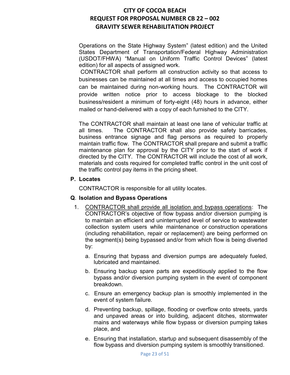Operations on the State Highway System" (latest edition) and the United States Department of Transportation/Federal Highway Administration (USDOT/FHWA) "Manual on Uniform Traffic Control Devices" (latest edition) for all aspects of assigned work.

CONTRACTOR shall perform all construction activity so that access to businesses can be maintained at all times and access to occupied homes can be maintained during non-working hours. The CONTRACTOR will provide written notice prior to access blockage to the blocked business/resident a minimum of forty-eight (48) hours in advance, either mailed or hand-delivered with a copy of each furnished to the CITY.

The CONTRACTOR shall maintain at least one lane of vehicular traffic at all times. The CONTRACTOR shall also provide safety barricades, business entrance signage and flag persons as required to properly maintain traffic flow. The CONTRACTOR shall prepare and submit a traffic maintenance plan for approval by the CITY prior to the start of work if directed by the CITY. The CONTRACTOR will include the cost of all work, materials and costs required for completed traffic control in the unit cost of the traffic control pay items in the pricing sheet.

### **P. Locates**

CONTRACTOR is responsible for all utility locates.

### **Q**. **Isolation and Bypass Operations**

- 1. CONTRACTOR shall provide all isolation and bypass operations: The CONTRACTOR's objective of flow bypass and/or diversion pumping is to maintain an efficient and uninterrupted level of service to wastewater collection system users while maintenance or construction operations (including rehabilitation, repair or replacement) are being performed on the segment(s) being bypassed and/or from which flow is being diverted by:
	- a. Ensuring that bypass and diversion pumps are adequately fueled, lubricated and maintained.
	- b. Ensuring backup spare parts are expeditiously applied to the flow bypass and/or diversion pumping system in the event of component breakdown.
	- c. Ensure an emergency backup plan is smoothly implemented in the event of system failure.
	- d. Preventing backup, spillage, flooding or overflow onto streets, yards and unpaved areas or into building, adjacent ditches, stormwater mains and waterways while flow bypass or diversion pumping takes place, and
	- e. Ensuring that installation, startup and subsequent disassembly of the flow bypass and diversion pumping system is smoothly transitioned.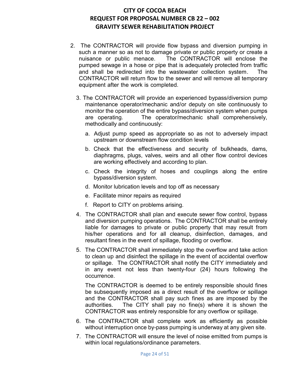- 2. The CONTRACTOR will provide flow bypass and diversion pumping in such a manner so as not to damage private or public property or create a nuisance or public menace. The CONTRACTOR will enclose the pumped sewage in a hose or pipe that is adequately protected from traffic and shall be redirected into the wastewater collection system. The CONTRACTOR will return flow to the sewer and will remove all temporary equipment after the work is completed.
	- 3. The CONTRACTOR will provide an experienced bypass/diversion pump maintenance operator/mechanic and/or deputy on site continuously to monitor the operation of the entire bypass/diversion system when pumps are operating. The operator/mechanic shall comprehensively, methodically and continuously:
		- a. Adjust pump speed as appropriate so as not to adversely impact upstream or downstream flow condition levels
		- b. Check that the effectiveness and security of bulkheads, dams, diaphragms, plugs, valves, weirs and all other flow control devices are working effectively and according to plan.
		- c. Check the integrity of hoses and couplings along the entire bypass/diversion system.
		- d. Monitor lubrication levels and top off as necessary
		- e. Facilitate minor repairs as required
		- f. Report to CITY on problems arising.
	- 4. The CONTRACTOR shall plan and execute sewer flow control, bypass and diversion pumping operations. The CONTRACTOR shall be entirely liable for damages to private or public property that may result from his/her operations and for all cleanup, disinfection, damages, and resultant fines in the event of spillage, flooding or overflow.
	- 5. The CONTRACTOR shall immediately stop the overflow and take action to clean up and disinfect the spillage in the event of accidental overflow or spillage. The CONTRACTOR shall notify the CITY immediately and in any event not less than twenty-four (24) hours following the occurrence.

The CONTRACTOR is deemed to be entirely responsible should fines be subsequently imposed as a direct result of the overflow or spillage and the CONTRACTOR shall pay such fines as are imposed by the authorities. The CITY shall pay no fine(s) where it is shown the CONTRACTOR was entirely responsible for any overflow or spillage.

- 6. The CONTRACTOR shall complete work as efficiently as possible without interruption once by-pass pumping is underway at any given site.
- 7. The CONTRACTOR will ensure the level of noise emitted from pumps is within local regulations/ordinance parameters.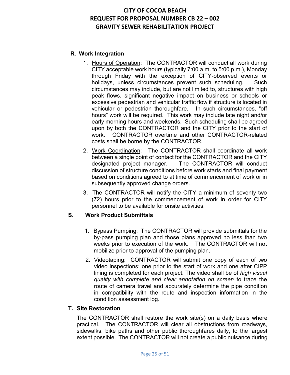### **R. Work Integration**

- 1. Hours of Operation: The CONTRACTOR will conduct all work during CITY acceptable work hours (typically 7:00 a.m. to 5:00 p.m.), Monday through Friday with the exception of CITY-observed events or holidays, unless circumstances prevent such scheduling. Such circumstances may include, but are not limited to, structures with high peak flows, significant negative impact on business or schools or excessive pedestrian and vehicular traffic flow if structure is located in vehicular or pedestrian thoroughfare. In such circumstances, "off hours" work will be required. This work may include late night and/or early morning hours and weekends. Such scheduling shall be agreed upon by both the CONTRACTOR and the CITY prior to the start of work. CONTRACTOR overtime and other CONTRACTOR-related costs shall be borne by the CONTRACTOR.
- 2. Work Coordination: The CONTRACTOR shall coordinate all work between a single point of contact for the CONTRACTOR and the CITY designated project manager. The CONTRACTOR will conduct discussion of structure conditions before work starts and final payment based on conditions agreed to at time of commencement of work or in subsequently approved change orders.
- 3. The CONTRACTOR will notify the CITY a minimum of seventy-two (72) hours prior to the commencement of work in order for CITY personnel to be available for onsite activities.

### **S. Work Product Submittals**

- 1. Bypass Pumping: The CONTRACTOR will provide submittals for the by-pass pumping plan and those plans approved no less than two weeks prior to execution of the work. The CONTRACTOR will not mobilize prior to approval of the pumping plan.
- 2. Videotaping: CONTRACTOR will submit one copy of each of two video inspections; one prior to the start of work and one after CIPP lining is completed for each project. The video shall be of *high visual quality with complete and clear annotation on screen* to trace the route of camera travel and accurately determine the pipe condition in compatibility with the route and inspection information in the condition assessment log.

### **T. Site Restoration**

The CONTRACTOR shall restore the work site(s) on a daily basis where practical. The CONTRACTOR will clear all obstructions from roadways, sidewalks, bike paths and other public thoroughfares daily, to the largest extent possible. The CONTRACTOR will not create a public nuisance during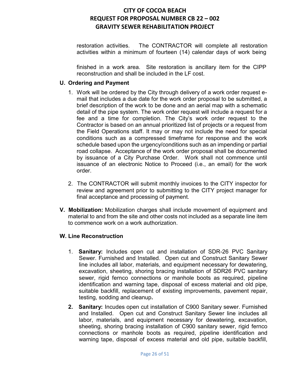restoration activities. The CONTRACTOR will complete all restoration activities within a minimum of fourteen (14) calendar days of work being

finished in a work area. Site restoration is ancillary item for the CIPP reconstruction and shall be included in the LF cost.

### **U. Ordering and Payment**

- 1. Work will be ordered by the City through delivery of a work order request email that includes a due date for the work order proposal to be submitted, a brief description of the work to be done and an aerial map with a schematic detail of the pipe system. The work order request will include a request for a fee and a time for completion. The City's work order request to the Contractor is based on an annual prioritized list of projects or a request from the Field Operations staff. It may or may not include the need for special conditions such as a compressed timeframe for response and the work schedule based upon the urgency/conditions such as an impending or partial road collapse. Acceptance of the work order proposal shall be documented by issuance of a City Purchase Order. Work shall not commence until issuance of an electronic Notice to Proceed (i.e., an email) for the work order.
- 2. The CONTRACTOR will submit monthly invoices to the CITY inspector for review and agreement prior to submitting to the CITY project manager for final acceptance and processing of payment.
- **V. Mobilization:** Mobilization charges shall include movement of equipment and material to and from the site and other costs not included as a separate line item to commence work on a work authorization.

### **W. Line Reconstruction**

- 1. **Sanitary:** Includes open cut and installation of SDR-26 PVC Sanitary Sewer. Furnished and Installed. Open cut and Construct Sanitary Sewer line includes all labor, materials, and equipment necessary for dewatering, excavation, sheeting, shoring bracing installation of SDR26 PVC sanitary sewer, rigid fernco connections or manhole boots as required, pipeline identification and warning tape, disposal of excess material and old pipe, suitable backfill, replacement of existing improvements, pavement repair, testing, sodding and cleanup**.**
- **2. Sanitary:** Incudes open cut installation of C900 Sanitary sewer. Furnished and Installed. Open cut and Construct Sanitary Sewer line includes all labor, materials, and equipment necessary for dewatering, excavation, sheeting, shoring bracing installation of C900 sanitary sewer, rigid fernco connections or manhole boots as required, pipeline identification and warning tape, disposal of excess material and old pipe, suitable backfill,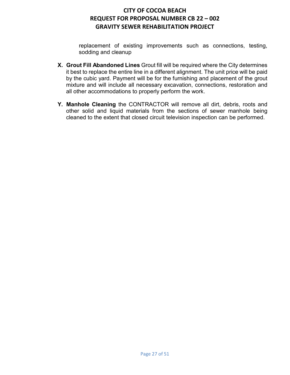replacement of existing improvements such as connections, testing, sodding and cleanup

- **X. Grout Fill Abandoned Lines** Grout fill will be required where the City determines it best to replace the entire line in a different alignment. The unit price will be paid by the cubic yard. Payment will be for the furnishing and placement of the grout mixture and will include all necessary excavation, connections, restoration and all other accommodations to properly perform the work.
- **Y. Manhole Cleaning** the CONTRACTOR will remove all dirt, debris, roots and other solid and liquid materials from the sections of sewer manhole being cleaned to the extent that closed circuit television inspection can be performed.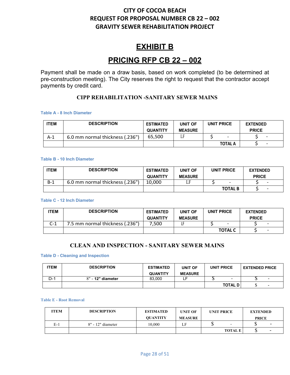# **EXHIBIT B**

# **PRICING RFP CB 22 – 002**

Payment shall be made on a draw basis, based on work completed (to be determined at pre-construction meeting). The City reserves the right to request that the contractor accept payments by credit card.

### **CIPP REHABILITATION -SANITARY SEWER MAINS**

#### **Table A - 8 Inch Diameter**

| ITEM | <b>DESCRIPTION</b>              | <b>ESTIMATED</b> | <b>UNIT OF</b> | <b>UNIT PRICE</b>        | <b>EXTENDED</b> |
|------|---------------------------------|------------------|----------------|--------------------------|-----------------|
|      |                                 | <b>QUANTITY</b>  | <b>MEASURE</b> |                          | <b>PRICE</b>    |
| A-1  | 6.0 mm normal thickness (.236") | 65.500           |                | $\overline{\phantom{a}}$ |                 |
|      |                                 |                  |                | <b>TOTAL A</b>           | -               |

#### **Table B - 10 Inch Diameter**

| <b>'TEM</b> | <b>DESCRIPTION</b>              | <b>ESTIMATED</b> | UNIT OF        | <b>UNIT PRICE</b> |                          | <b>EXTENDED</b> |                          |
|-------------|---------------------------------|------------------|----------------|-------------------|--------------------------|-----------------|--------------------------|
|             |                                 | <b>QUANTITY</b>  | <b>MEASURE</b> |                   |                          | <b>PRICE</b>    |                          |
| $B-1$       | 6.0 mm normal thickness (.236") | 10.000           |                |                   | $\overline{\phantom{0}}$ |                 | -                        |
|             |                                 |                  |                |                   | <b>TOTAL B</b>           |                 | $\overline{\phantom{0}}$ |

### **Table C - 12 Inch Diameter**

| <b>ITEM</b> | <b>DESCRIPTION</b>              | <b>ESTIMATED</b> | <b>UNIT OF</b> | <b>UNIT PRICE</b>        | <b>EXTENDED</b>          |
|-------------|---------------------------------|------------------|----------------|--------------------------|--------------------------|
|             |                                 | <b>QUANTITY</b>  | <b>MEASURE</b> |                          | <b>PRICE</b>             |
| C-1         | 7.5 mm normal thickness (.236") | .500             |                | $\overline{\phantom{0}}$ | $\overline{\phantom{0}}$ |
|             |                                 |                  |                | <b>TOTAL C</b>           | $\overline{\phantom{0}}$ |

### **CLEAN AND INSPECTION - SANITARY SEWER MAINS**

### **Table D - Cleaning and Inspection**

| <b>TEM</b> | <b>DESCRIPTION</b> | <b>ESTIMATED</b> | UNIT OF        | <b>UNIT PRICE</b>        | <b>EXTENDED PRICE</b>    |
|------------|--------------------|------------------|----------------|--------------------------|--------------------------|
|            |                    | <b>QUANTITY</b>  | <b>MEASURE</b> |                          |                          |
| $D-1$      | 8" - 12" diameter  | 83.000           |                | $\overline{\phantom{0}}$ | $\overline{\phantom{0}}$ |
|            |                    |                  |                | <b>TOTAL D</b>           | -                        |

#### **Table E - Root Removal**

| <b>ITEM</b> | <b>DESCRIPTION</b> | <b>ESTIMATED</b> | <b>UNIT OF</b> | <b>UNIT PRICE</b> | <b>EXTENDED</b>          |
|-------------|--------------------|------------------|----------------|-------------------|--------------------------|
|             |                    | <b>OUANTITY</b>  | <b>MEASURE</b> |                   | <b>PRICE</b>             |
| E-1         | 8" - 12" diameter  | 10.000           | LF             | -                 | $\overline{\phantom{0}}$ |
|             |                    |                  |                | <b>TOTAL E</b>    | $\overline{\phantom{0}}$ |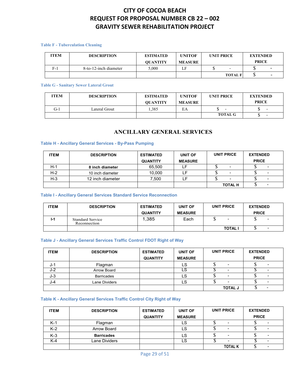#### **Table F - Tuberculation Cleaning**

| <b>ITEM</b> | <b>DESCRIPTION</b>    | <b>ESTIMATED</b><br><b>OUANTITY</b> | <b>UNITOF</b><br><b>MEASURE</b> | <b>UNIT PRICE</b> |                          | <b>EXTENDED</b><br><b>PRICE</b> |   |
|-------------|-----------------------|-------------------------------------|---------------------------------|-------------------|--------------------------|---------------------------------|---|
| $F-$        | 8-to-12-inch diameter | 5.000                               | LF                              |                   | $\overline{\phantom{0}}$ |                                 | - |
|             |                       |                                     |                                 |                   | <b>TOTAL F</b>           | w                               |   |

#### **Table G - Sanitary Sewer Lateral Grout**

| ITEM | <b>DESCRIPTION</b> | <b>ESTIMATED</b><br><b>OUANTITY</b> | <b>UNITOF</b><br><b>MEASURE</b> | <b>UNIT PRICE</b> | <b>EXTENDED</b><br><b>PRICE</b> |
|------|--------------------|-------------------------------------|---------------------------------|-------------------|---------------------------------|
| G-1  | Lateral Grout      | .385                                | EA                              |                   |                                 |
|      |                    |                                     |                                 | <b>TOTAL G</b>    |                                 |

### **ANCILLARY GENERAL SERVICES**

### **Table H - Ancillary General Services - By-Pass Pumping**

| <b>ITEM</b> | <b>DESCRIPTION</b> | <b>ESTIMATED</b> | <b>UNIT OF</b> | UNIT PRICE               | <b>EXTENDED</b>              |
|-------------|--------------------|------------------|----------------|--------------------------|------------------------------|
|             |                    | <b>QUANTITY</b>  | <b>MEASURE</b> |                          | <b>PRICE</b>                 |
| $H-1$       | 8 inch diameter    | 65.500           |                | $\blacksquare$           |                              |
| $H-2$       | 10 inch diameter   | 10.000           |                | $\blacksquare$           | -                            |
| $H-3$       | 12 inch diameter   | 7.500            |                | $\overline{\phantom{a}}$ | -                            |
|             |                    |                  |                | <b>TOTAL H</b>           | $\qquad \qquad \blacksquare$ |

### **Table I - Ancillary General Services Standard Service Reconnection**

| <b>ITEM</b> | <b>DESCRIPTION</b>                      | <b>ESTIMATED</b><br><b>QUANTITY</b> | UNIT OF<br><b>MEASURE</b> | <b>UNIT PRICE</b> | <b>EXTENDED</b><br><b>PRICE</b> |
|-------------|-----------------------------------------|-------------------------------------|---------------------------|-------------------|---------------------------------|
| $1-1$       | <b>Standard Service</b><br>Reconnection | 1,385                               | Each                      | $\blacksquare$    | $\blacksquare$<br>w             |
|             |                                         |                                     |                           | <b>TOTAL</b>      | -<br>Ψ                          |

### **Table J - Ancillary General Services Traffic Control FDOT Right of Way**

| <b>ITEM</b> | <b>DESCRIPTION</b> | <b>ESTIMATED</b> | <b>UNIT OF</b> | <b>UNIT PRICE</b>        | <b>EXTENDED</b> |
|-------------|--------------------|------------------|----------------|--------------------------|-----------------|
|             |                    | <b>QUANTITY</b>  | <b>MEASURE</b> |                          | <b>PRICE</b>    |
| J-1         | Flagman            |                  | LS             | $\overline{\phantom{a}}$ |                 |
| J-2         | Arrow Board        |                  | LS             |                          |                 |
| $J-3$       | <b>Barricades</b>  |                  | LS             |                          |                 |
| J-4         | Lane Dividers      |                  | LS             | $\overline{\phantom{a}}$ |                 |
|             |                    |                  |                | <b>TOTAL J</b>           |                 |

#### **Table K - Ancillary General Services Traffic Control City Right of Way**

| <b>ITEM</b> | <b>DESCRIPTION</b> | <b>ESTIMATED</b> | <b>UNIT OF</b> | <b>UNIT PRICE</b> | <b>EXTENDED</b> |
|-------------|--------------------|------------------|----------------|-------------------|-----------------|
|             |                    | <b>QUANTITY</b>  | <b>MEASURE</b> |                   | <b>PRICE</b>    |
| $K-1$       | Flagman            |                  | LS             | -                 |                 |
| $K-2$       | Arrow Board        |                  | LS             |                   |                 |
| $K-3$       | <b>Barricades</b>  |                  | LS             | -                 | -               |
| $K-4$       | Lane Dividers      |                  | LS             |                   |                 |
|             |                    |                  |                | <b>TOTAL K</b>    |                 |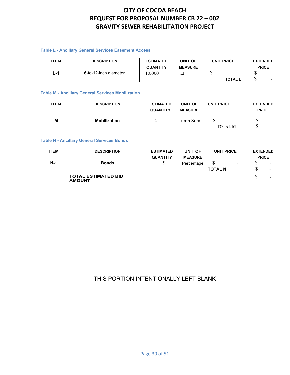### **Table L - Ancillary General Services Easement Access**

| <b>ITEM</b> | <b>DESCRIPTION</b>    | <b>ESTIMATED</b> | UNIT OF        | UNIT PRICE     | <b>EXTENDED</b> |   |
|-------------|-----------------------|------------------|----------------|----------------|-----------------|---|
|             |                       | <b>QUANTITY</b>  | <b>MEASURE</b> |                | <b>PRICE</b>    |   |
| - 1<br>ا -_ | 6-to-12-inch diameter | 10.000           |                | -              |                 |   |
|             |                       |                  |                | <b>TOTAL L</b> | لا              | - |

#### **Table M - Ancillary General Services Mobilization**

| <b>ITEM</b> | <b>DESCRIPTION</b>  | <b>ESTIMATED</b><br><b>QUANTITY</b> | <b>UNIT OF</b><br><b>MEASURE</b> | UNIT PRICE     | <b>EXTENDED</b><br><b>PRICE</b> |
|-------------|---------------------|-------------------------------------|----------------------------------|----------------|---------------------------------|
|             |                     |                                     |                                  |                |                                 |
| М           | <b>Mobilization</b> |                                     | Lump Sum                         |                | $\sim$                          |
|             |                     |                                     |                                  | <b>TOTAL M</b> | $\sim$                          |

### **Table N - Ancillary General Services Bonds**

| <b>ITEM</b> | <b>DESCRIPTION</b>                          | <b>ESTIMATED</b> | <b>UNIT OF</b> | UNIT PRICE     | <b>EXTENDED</b> |
|-------------|---------------------------------------------|------------------|----------------|----------------|-----------------|
|             |                                             | <b>QUANTITY</b>  | <b>MEASURE</b> |                | <b>PRICE</b>    |
| $N-1$       | <b>Bonds</b>                                | L.)              | Percentage     | J              |                 |
|             |                                             |                  |                | <b>TOTAL N</b> |                 |
|             | <b>TOTAL ESTIMATED BID</b><br><b>AMOUNT</b> |                  |                |                | -               |

### THIS PORTION INTENTIONALLY LEFT BLANK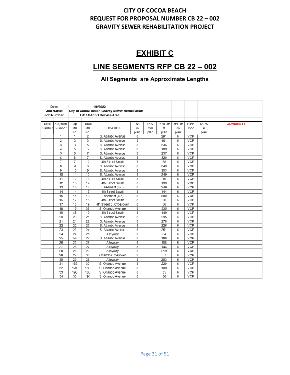# **EXHIBIT C**

# **LINE SEGMENTS RFP CB 22 – 002**

# **All Segments are Approximate Lengths**

|        | Date:          |                |                 | 1/9/2022                                        |      |      |              |      |            |             |                 |
|--------|----------------|----------------|-----------------|-------------------------------------------------|------|------|--------------|------|------------|-------------|-----------------|
|        | Job Name:      |                |                 | City of Cocoa Beach Gravity Sewer Rehbilitation |      |      |              |      |            |             |                 |
|        | Job Number:    |                |                 | Lift Station 1 Service Area                     |      |      |              |      |            |             |                 |
|        |                |                |                 |                                                 |      |      |              |      |            |             |                 |
| Shot   | Segment        | Up             | Down            |                                                 | DIA. | THK. | LENGTH DEPTH |      | PIPF       | <b>TAPS</b> | <b>COMMENTS</b> |
| Number | Number         | MH             | MH              | LOCATION                                        | in   | mm   | ft           | inv  | Type       | #           |                 |
|        |                | No.            | No.             |                                                 | plan | plan | plan         | plan |            | plan        |                 |
|        | 1              | 1              | 2               | S. Atlantic Avenue                              | 8    |      | 291          | 6    | <b>VCP</b> |             |                 |
|        | 2              | 2              | 3               | S. Atlantic Avenue                              | 8    |      | 161          | 6    | <b>VCP</b> |             |                 |
|        | 3              | 3              | 5               | S. Atlantic Avenue                              | 8    |      | 346          | 6    | <b>VCP</b> |             |                 |
|        | 4              | 5              | 6               | S. Atlantic Avenue                              | 8    |      | 189          | 6    | <b>VCP</b> |             |                 |
|        | 5              | 6              | $\overline{7}$  | S. Atlantic Avenue                              | 8    |      | 237          | 6    | <b>VCP</b> |             |                 |
|        | 6              | 8              | $\overline{7}$  | S. Atlantic Avenue                              | 8    |      | 320          | 6    | <b>VCP</b> |             |                 |
|        | $\overline{7}$ | $\overline{7}$ | 12              | 4th Street South                                | 8    |      | 58           | 6    | <b>VCP</b> |             |                 |
|        | 8              | 9              | 8               | S. Atlantic Avenue                              | 8    |      | 349          | 6    | VCP        |             |                 |
|        | 9              | 10             | 9               | S. Atlantic Avenue                              | 8    |      | 353          | 6    | <b>VCP</b> |             |                 |
|        | 10             | 11             | 10              | S. Atlantic Avenue                              | 8    |      | 249          | 6    | <b>VCP</b> |             |                 |
|        | 11             | 12             | 13              | 4th Street South                                | 8    |      | 10           | 6    | <b>VCP</b> |             |                 |
|        | 12             | 13             | 14              | 4th Street South                                | 8    |      | 139          | 6    | <b>VCP</b> |             |                 |
|        | 13             | 16             | 14              | Easement (4-5)                                  | 8    |      | 249          | 6    | <b>VCP</b> |             |                 |
|        | 14             | 14             | 17              | 4th Street South                                | 8    |      | 144          | 6    | <b>VCP</b> |             |                 |
|        | 15             | 15             | 16              | Easement (4-5)                                  | 8    |      | 300          | 6    | VCP        |             |                 |
|        | 16             | 17             | 18              | 4th Street South                                | 8    |      | 20           | 6    | <b>VCP</b> |             |                 |
|        | 17             | 18             | 19              | 4th Street S. Crossover                         | 8    |      | 56           | 6    | <b>VCP</b> |             |                 |
|        | 18             | 19             | 38              | S. Orlando Avenue                               | 8    |      | 335          | 6    | <b>VCP</b> |             |                 |
|        | 19             | 45             | 19              | 4th Street South                                | 8    |      | 149          | 6    | <b>VCP</b> |             |                 |
|        | 20             | 20             | 21              | S. Atlantic Avenue                              | 8    |      | 295          | 6    | VCP        |             |                 |
|        | 21             | 21             | 22              | S. Atlantic Avenue                              | 8    |      | 278          | 6    | <b>VCP</b> |             |                 |
|        | 22             | 22             | 23              | S. Atlantic Avenue                              | 8    |      | 226          | 6    | <b>VCP</b> |             |                 |
|        | 23             | 23             | 24              | S. Atlantic Avenue                              | 8    |      | 251          | 6    | <b>VCP</b> |             |                 |
|        | 24             | 24             | 25              | Alleyway                                        | 8    |      | 64           | 6    | <b>VCP</b> |             |                 |
|        | 25             | 59             | 24              | S. Atlantic Avenue                              | 8    |      | 188          | 6    | <b>VCP</b> |             |                 |
|        | 26             | 25             | $\overline{26}$ | Alleyway                                        | 8    |      | 158          | 6    | <b>VCP</b> |             |                 |
|        | 27             | 26             | 27              | Alleyway                                        | 8    |      | 144          | 6    | <b>VCP</b> |             |                 |
|        | 28             | 28             | 26              | Alleyway                                        | 8    |      | 219          | 6    | <b>VCP</b> |             |                 |
|        | 29             | 27             | 30              | Orlando Crossover                               | 8    |      | 57           | 6    | <b>VCP</b> |             |                 |
|        | 30             | 29             | 28              | Alleway                                         | 8    |      | 203          | 6    | <b>VCP</b> |             |                 |
|        | 31             | 186            | 30              | S. Orlando Avenue                               | 8    |      | 220          | 6    | <b>VCP</b> |             |                 |
|        | 32             | 194            | 188             | S. Orlando Avenue                               | 8    |      | 109          | 6    | <b>VCP</b> |             |                 |
|        | 33             | 190            | 188             | S. Orlando Avenue                               | 8    |      | 35           | 6    | <b>VCP</b> |             |                 |
|        | 34             | 30             | 194             | S. Orlando Avenue                               | 8    |      | 36           | 6    | <b>VCP</b> |             |                 |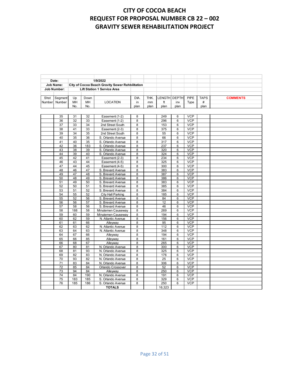|        | Date:            |     |      | 1/9/2022                                        |      |      |              |      |      |             |                 |
|--------|------------------|-----|------|-------------------------------------------------|------|------|--------------|------|------|-------------|-----------------|
|        | <b>Job Name:</b> |     |      | City of Cocoa Beach Gravity Sewer Rehbilitation |      |      |              |      |      |             |                 |
|        | Job Number:      |     |      | <b>Lift Station 1 Service Area</b>              |      |      |              |      |      |             |                 |
|        |                  |     |      |                                                 |      |      |              |      |      |             |                 |
| Shot   | Segment          | Up  | Down |                                                 | DIA. | THK. | LENGTH DEPTH |      | PIPE | <b>TAPS</b> | <b>COMMENTS</b> |
| Number | Number           | MH  | MН   | <b>LOCATION</b>                                 | in   | mm   |              | inv  | Type | #           |                 |
|        |                  | No. | No.  |                                                 | plan | plan | plan         | plan |      | plan        |                 |

| 35              | 31  | 32  | Easement (1-2)     | 8 | 249              | 6 | <b>VCP</b> |  |  |
|-----------------|-----|-----|--------------------|---|------------------|---|------------|--|--|
| 36              | 32  | 33  | Easement (1-2)     | 8 | 296              | 6 | <b>VCP</b> |  |  |
| 37              | 33  | 34  | 2nd Street South   | 8 | 153              | 6 | <b>VCP</b> |  |  |
| 38              | 41  | 33  | Easement (2-3)     | 8 | 375              | 6 | <b>VCP</b> |  |  |
| 39              | 34  | 35  | 2nd Street South   | 8 | 55               | 6 | <b>VCP</b> |  |  |
| 40              | 35  | 36  | S. Orlando Avenue  | 8 | 66               | 6 | <b>VCP</b> |  |  |
| 41              | 40  | 35  | S. Orlando Avenue  | 8 | $\overline{317}$ | 6 | VCP        |  |  |
| 42              | 36  | 183 | S. Orlando Avenue  | 8 | 237              | 6 | <b>VCP</b> |  |  |
| 43              | 38  | 39  | S. Orlando Avenue  | 8 | 320              | 6 | <b>VCP</b> |  |  |
| 44              | 39  | 40  | S. Orlando Avenue  | 8 | 324              | 6 | <b>VCP</b> |  |  |
| 45              | 42  | 41  | Easement (2-3)     | 8 | 234              | 6 | <b>VCP</b> |  |  |
| 46              | 43  | 44  | Easement (4-5)     | 8 | 325              | 6 | <b>VCP</b> |  |  |
| 47              | 44  | 45  | Easement (4-5)     | 8 | 300              | 6 | <b>VCP</b> |  |  |
| 48              | 46  | 47  | S. Brevard Avenue  | 8 | 383              | 6 | <b>VCP</b> |  |  |
| 49              | 47  | 48  | S. Brevard Avenue  | 8 | 387              | 6 | <b>VCP</b> |  |  |
| 50              | 48  | 49  | S. Brevard Avenue  | 8 | 386              | 6 | <b>VCP</b> |  |  |
| 51              | 49  | 50  | S. Brevard Avenue  | 8 | 383              | 6 | <b>VCP</b> |  |  |
| 52              | 50  | 51  | S. Brevard Avenue  | 8 | 385              | 6 | <b>VCP</b> |  |  |
| 53              | 51  | 52  | S. Brevard Avenue  | 8 | 384              | 6 | <b>VCP</b> |  |  |
| 54              | 55  | 52  | City Hall Parking  | 8 | 185              | 6 | VCP        |  |  |
| 55              | 52  | 56  | S. Brevard Avenue  | 8 | 84               | 6 | <b>VCP</b> |  |  |
| 56              | 56  | 57  | S. Brevard Avenue  | 8 | 12               | 6 | <b>VCP</b> |  |  |
| 57              | 58  | 56  | S. Brevard Avenue  | 8 | 46               | 6 | <b>VCP</b> |  |  |
| 58              | 188 | 58  | Minutemen Causeway | 8 | 269              | 6 | <b>VCP</b> |  |  |
| 59              | 60  | 59  | Minutemen Causeway | 8 | 194              | 6 | <b>VCP</b> |  |  |
| 60              | 62  | 59  | N. Atlantic Avenue | 8 | 156              | 6 | <b>VCP</b> |  |  |
| 61              | 61  | 66  | Alleyway           | 8 | 95               | 6 | <b>VCP</b> |  |  |
| 62              | 63  | 62  | N. Atlantic Avenue | 8 | 112              | 6 | <b>VCP</b> |  |  |
| 63              | 64  | 63  | N. Atlantic Avenue | 8 | 348              | 6 | VCP        |  |  |
| 64              | 67  | 66  | Alleyway           | 8 | 194              | 6 | <b>VCP</b> |  |  |
| 65              | 66  | 85  | Alleyway           | 8 | 161              | 6 | <b>VCP</b> |  |  |
| 66              | 68  | 67  | Alleyway           | 8 | 265              | 6 | <b>VCP</b> |  |  |
| 67              | 80  | 81  | N. Orlando Avenue  | 8 | 300              | 6 | <b>VCP</b> |  |  |
| 68              | 81  | 93  | N. Orlando Avenue  | 8 | 325              | 6 | <b>VCP</b> |  |  |
| 69              | 82  | 83  | N. Orlando Avenue  | 8 | 176              | 6 | <b>VCP</b> |  |  |
| 70              | 93  | 82  | N. Orlando Avenue  | 8 | 25               | 6 | <b>VCP</b> |  |  |
| $\overline{71}$ | 83  | 84  | N. Orlando Avenue  | 8 | 306              | 6 | VCP        |  |  |
| 72              | 85  | 84  | Orlando Crossover  | 8 | 52               | 6 | <b>VCP</b> |  |  |
| 73              | 94  | 84  | Alleyway           | 8 | 250              | 6 | <b>VCP</b> |  |  |
| 74              | 84  | 190 | N. Orlando Avenue  | 8 | 191              | 6 | <b>VCP</b> |  |  |
| 75              | 183 | 185 | S. Orlando Avenue  | 8 | 329              | 6 | <b>VCP</b> |  |  |
| 76              | 185 | 186 | S. Orlando Avenue  | 8 | 250              | 6 | <b>VCP</b> |  |  |
|                 |     |     | <b>TOTALS</b>      |   | 16,323           |   |            |  |  |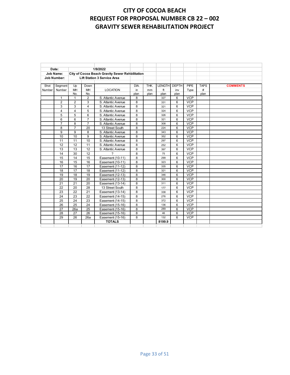|        | Date:              |                 |                 | 1/9/2022                                        |                |      |               |              |            |             |                 |
|--------|--------------------|-----------------|-----------------|-------------------------------------------------|----------------|------|---------------|--------------|------------|-------------|-----------------|
|        | <b>Job Name:</b>   |                 |                 | City of Cocoa Beach Gravity Sewer Rehbilitation |                |      |               |              |            |             |                 |
|        | <b>Job Number:</b> |                 |                 | <b>Lift Station 3 Service Area</b>              |                |      |               |              |            |             |                 |
|        |                    |                 |                 |                                                 |                |      |               |              |            |             |                 |
| Shot   | Segment            | Up              | Down            |                                                 | DIA.           | THK. | <b>LENGTH</b> | <b>DEPTH</b> | PIPE       | <b>TAPS</b> | <b>COMMENTS</b> |
| Number | Number             | MH              | MH              | <b>LOCATION</b>                                 | in             | mm   | ft            | inv          | Type       | #           |                 |
|        |                    | No.             | No.             |                                                 | plan           | plan | plan          | plan         |            | plan        |                 |
|        | $\mathbf{1}$       | $\mathbf{1}$    | 2               | S. Atlantic Avenue                              | 8              |      | 327           | 6            | <b>VCP</b> |             |                 |
|        | $\overline{2}$     | $\overline{2}$  | 3               | S. Atlantic Avenue                              | 8              |      | 331           | 6            | <b>VCP</b> |             |                 |
|        | 3                  | 3               | $\overline{4}$  | S. Atlantic Avenue                              | 8              |      | 321           | 6            | <b>VCP</b> |             |                 |
|        | $\overline{4}$     | 4               | 5               | S. Atlantic Avenue                              | 8              |      | 324           | 6            | <b>VCP</b> |             |                 |
|        | 5                  | 5               | 6               | S. Atlantic Avenue                              | 8              |      | 326           | 6            | <b>VCP</b> |             |                 |
|        | 6                  | 6               | $\overline{7}$  | S. Atlantic Avenue                              | 8              |      | 321           | 6            | <b>VCP</b> |             |                 |
|        | $\overline{7}$     | 8               | $\overline{7}$  | S. Atlantic Avenue                              | 8              |      | 308           | 6            | <b>VCP</b> |             |                 |
|        | 8                  | $\overline{7}$  | 20              | 13 Street South                                 | 8              |      | 224           | 6            | <b>VCP</b> |             |                 |
|        | 9                  | 9               | 8               | S. Atlantic Avenue                              | 8              |      | 343           | 6            | <b>VCP</b> |             |                 |
|        | 10                 | 10              | 9               | S. Atlantic Avenue                              | 8              |      | 352           | 6            | <b>VCP</b> |             |                 |
|        | 11                 | 11              | 10              | S. Atlantic Avenue                              | 8              |      | 297           | 6            | <b>VCP</b> |             |                 |
|        | 12                 | 12              | 11              | S. Atlantic Avenue                              | 8              |      | 252           | 6            | <b>VCP</b> |             |                 |
|        | 13                 | 13              | 12              | S. Atlantic Avenue                              | 8              |      | 397           | 6            | <b>VCP</b> |             |                 |
|        | 14                 | 30              | 12              | 7                                               | 8              |      | 75            | 6            | <b>VCP</b> |             |                 |
|        | 15                 | 14              | 15              | Easement (10-11)                                | 8              |      | 299           | 6            | <b>VCP</b> |             |                 |
|        | 16                 | 15              | 16              | Easement (10-11)                                | 8              |      | 323           | 6            | <b>VCP</b> |             |                 |
|        | 17                 | 16              | 17              | Easement (11-12)                                | 8              |      | 335           | 6            | <b>VCP</b> |             |                 |
|        | 18                 | 17              | 18              | Easement (11-12)                                | 8              |      | 321           | 6            | <b>VCP</b> |             |                 |
|        | 19                 | 18              | 19              | Easement (12-13)                                | 8              |      | 346           | 6            | <b>VCP</b> |             |                 |
|        | 20                 | 19              | 20              | Easement (12-13)                                | 8              |      | 300           | 6            | <b>VCP</b> |             |                 |
|        | 21                 | 21              | 20              | Easement (13-14)                                | 8              |      | 311           | 6            | <b>VCP</b> |             |                 |
|        | 22                 | 20              | 28              | 13 Street South                                 | 8              |      | 177           | 6            | <b>VCP</b> |             |                 |
|        | 23                 | 22              | 21              | Easement (13-14)                                | 8              |      | 338           | 6            | <b>VCP</b> |             |                 |
|        | $\overline{24}$    | $\overline{23}$ | $\overline{22}$ | Easement (14-15)                                | $\overline{8}$ |      | 276           | 6            | <b>VCP</b> |             |                 |
|        | 25                 | 24              | 23              | Easement (14-15)                                | 8              |      | 372           | 6            | <b>VCP</b> |             |                 |
|        | 26                 | 25              | 24              | Easement (15-16)                                | 8              |      | 136           | 6            | <b>VCP</b> |             |                 |
|        | 27                 | 26a             | 25              | Easement (15-16)                                | 8              |      | 289           | 6            | <b>VCP</b> |             |                 |
|        | 28                 | 27              | 26              | Easement (15-16)                                | 8              |      | 46            | 6            | <b>VCP</b> |             |                 |
|        | 29                 | 26              | 26a             | Easement (15-16)                                | 8              |      | 132           | 6            | <b>VCP</b> |             |                 |
|        |                    |                 |                 | <b>TOTALS</b>                                   |                |      | 8199.9        |              |            |             |                 |
|        |                    |                 |                 |                                                 |                |      |               |              |            |             |                 |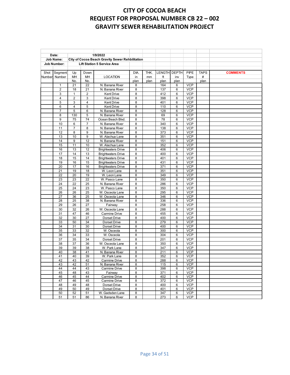| 1/9/2022<br>Date:<br><b>Job Name:</b><br>City of Cocoa Beach Gravity Sewer Rehbilitation<br><b>Lift Station 5 Service Area</b><br><b>Job Number:</b><br>THK.<br>LENGTH DEPTH<br>PIPE<br><b>TAPS</b><br><b>COMMENTS</b><br>Segment<br>Up<br>DIA.<br>Shot<br>Down<br>Number<br>ft<br>#<br>Number<br>MH<br>MH<br><b>LOCATION</b><br>in<br>inv<br>Type<br>mm<br>plan<br>No.<br>No.<br>plan<br>plan<br>plan<br>plan<br>22<br><b>VCP</b><br>21<br>N. Banana River<br>164<br>8<br>6<br>1<br>$\overline{2}$<br>VCP<br>18<br>N. Banana River<br>8<br>137<br>6<br>21<br><b>VCP</b><br>3<br>$\overline{2}$<br><b>Kent Drive</b><br>8<br>412<br>6<br>$\mathbf{1}$<br>$\overline{4}$<br><b>VCP</b><br>$\overline{2}$<br>3<br>8<br>398<br>6<br><b>Kent Drive</b><br>$\overline{4}$<br><b>VCP</b><br>5<br>3<br>Kent Drive<br>8<br>401<br>6<br>6<br>4<br>5<br>8<br>110<br>6<br><b>VCP</b><br><b>Kent Drive</b><br>5<br><b>VCP</b><br>7<br>6<br>N. Banana River<br>8<br>128<br>6<br>5<br><b>VCP</b><br>8<br>130<br>N. Banana River<br>8<br>69<br>6<br>9<br>75<br>74<br>Ocean Beach Blvd.<br>8<br>78<br>6<br><b>VCP</b><br>10<br>N. Banana River<br>340<br><b>VCP</b><br>6<br>$\overline{7}$<br>8<br>6<br>11<br>8<br>N. Banana River<br>8<br>138<br>6<br><b>VCP</b><br>7<br>12<br>8<br>9<br><b>VCP</b><br>N. Banana River<br>8<br>373<br>6<br>9<br>13<br>10<br>W. Alachua Lane<br>8<br>351<br>6<br><b>VCP</b><br>14<br>12<br>9<br>N. Banana River<br>8<br>151<br>6<br><b>VCP</b><br>15<br>10<br>8<br><b>VCP</b><br>11<br>W. Alachua Lane<br>352<br>6<br>16<br>13<br>12<br>8<br>406<br>6<br><b>VCP</b><br><b>Brightwaters Drive</b><br>17<br>14<br>13<br>8<br>6<br><b>VCP</b><br><b>Brightwaters Drive</b><br>400<br>18<br>15<br>14<br>8<br>401<br>6<br><b>VCP</b><br><b>Brightwaters Drive</b><br>19<br>16<br>15<br>8<br>431<br>6<br><b>VCP</b><br><b>Brightwaters Drive</b><br>20<br>17<br>16<br>8<br>371<br>6<br><b>VCP</b><br><b>Brightwaters Drive</b><br>19<br>21<br>18<br>W. Leon Lane<br>8<br>351<br>6<br><b>VCP</b><br><b>VCP</b><br>22<br>20<br>19<br>8<br>349<br>6<br>W. Leon Lane<br>22<br>8<br><b>VCP</b><br>23<br>23<br>W. Pasco Lane<br>350<br>6<br><b>VCP</b><br>24<br>25<br>22<br>N. Banana River<br>8<br>286<br>6<br>W. Pasco Lane<br><b>VCP</b><br>25<br>24<br>23<br>8<br>350<br>6<br><b>VCP</b><br>25<br>8<br>26<br>26<br>W. Osceola Lane<br>295<br>6<br><b>VCP</b><br>27<br>36<br>25<br>W. Osceola Lane<br>8<br>346<br>6<br>28<br>25<br>38<br>8<br>6<br><b>VCP</b><br>N. Banana River<br>336<br>29<br>26<br>27<br>Fairway<br>8<br>6<br><b>VCP</b><br>258<br><b>VCP</b><br>30<br>32<br>26<br>8<br>6<br>W. Osceola Lane<br>288<br>8<br><b>VCP</b><br>31<br>47<br>46<br><b>Carmine Drive</b><br>455<br>6<br><b>VCP</b><br>32<br>30<br>27<br>8<br>400<br>6<br>Dorset Drive<br>50<br>34<br>8<br>279<br>6<br><b>VCP</b><br>33<br>Dorset Drive<br><b>VCP</b><br>34<br>31<br>30<br>8<br>400<br>6<br>Dorset Drive<br>33<br>32<br>8<br><b>VCP</b><br>35<br>W. Osceola<br>300<br>6<br><b>VCP</b><br>36<br>34<br>33<br>8<br>W. Osceola<br>304<br>6<br>35<br>34<br>8<br>201<br><b>VCP</b><br>37<br>Dorset Drive<br>6<br>38<br>37<br>36<br>8<br>350<br>6<br><b>VCP</b><br>W. Osceola Lane<br>39<br>39<br>38<br>8<br>347<br><b>VCP</b><br>W. Park Lane<br>6<br>40<br>38<br>41<br>8<br>211<br>6<br><b>VCP</b><br>N. Banana River<br>41<br>40<br>39<br>W. Park Lane<br>8<br>352<br>6<br><b>VCP</b><br>42<br><b>VCP</b><br>43<br>42<br>8<br>288<br>6<br><b>Carmine Drive</b><br>8<br><b>VCP</b><br>43<br>42<br>51<br>N. Banana River<br>115<br>6<br>44<br>44<br>43<br>8<br>398<br>6<br><b>VCP</b><br>Carmine Drive<br>48<br>43<br>Fairway<br>371<br><b>VCP</b><br>45<br>8<br>6<br>44<br>8<br>6<br><b>VCP</b><br>46<br>45<br>Carmine Drive<br>402<br><b>VCP</b><br>47<br>45<br>8<br>372<br>6<br>46<br>Carmine Drive<br>48<br>8<br>49<br>48<br>Dorset Drive<br>400<br>6<br><b>VCP</b><br>49<br>50<br>49<br>Dorset Drive<br>8<br>401<br><b>VCP</b><br>6<br>52<br>51<br>W. Gadsden Lane<br><b>VCP</b><br>50<br>8<br>347<br>6<br><b>VCP</b><br>51<br>51<br>86<br>N. Banana River<br>8<br>273<br>6 |  |  |  |  |  |  |
|------------------------------------------------------------------------------------------------------------------------------------------------------------------------------------------------------------------------------------------------------------------------------------------------------------------------------------------------------------------------------------------------------------------------------------------------------------------------------------------------------------------------------------------------------------------------------------------------------------------------------------------------------------------------------------------------------------------------------------------------------------------------------------------------------------------------------------------------------------------------------------------------------------------------------------------------------------------------------------------------------------------------------------------------------------------------------------------------------------------------------------------------------------------------------------------------------------------------------------------------------------------------------------------------------------------------------------------------------------------------------------------------------------------------------------------------------------------------------------------------------------------------------------------------------------------------------------------------------------------------------------------------------------------------------------------------------------------------------------------------------------------------------------------------------------------------------------------------------------------------------------------------------------------------------------------------------------------------------------------------------------------------------------------------------------------------------------------------------------------------------------------------------------------------------------------------------------------------------------------------------------------------------------------------------------------------------------------------------------------------------------------------------------------------------------------------------------------------------------------------------------------------------------------------------------------------------------------------------------------------------------------------------------------------------------------------------------------------------------------------------------------------------------------------------------------------------------------------------------------------------------------------------------------------------------------------------------------------------------------------------------------------------------------------------------------------------------------------------------------------------------------------------------------------------------------------------------------------------------------------------------------------------------------------------------------------------------------------------------------------------------------------------------------------------------------------------------------------------------------------------------------------------------------------------------------------------------------------------------------------------------------------------------------------------------------------------------------------------------------------------------------------------------------------------------------------------------------------------------------------------------------------------------------------------------------------------------------------------------------------------------------------------------------------------------------------------|--|--|--|--|--|--|
|                                                                                                                                                                                                                                                                                                                                                                                                                                                                                                                                                                                                                                                                                                                                                                                                                                                                                                                                                                                                                                                                                                                                                                                                                                                                                                                                                                                                                                                                                                                                                                                                                                                                                                                                                                                                                                                                                                                                                                                                                                                                                                                                                                                                                                                                                                                                                                                                                                                                                                                                                                                                                                                                                                                                                                                                                                                                                                                                                                                                                                                                                                                                                                                                                                                                                                                                                                                                                                                                                                                                                                                                                                                                                                                                                                                                                                                                                                                                                                                                                                                                              |  |  |  |  |  |  |
|                                                                                                                                                                                                                                                                                                                                                                                                                                                                                                                                                                                                                                                                                                                                                                                                                                                                                                                                                                                                                                                                                                                                                                                                                                                                                                                                                                                                                                                                                                                                                                                                                                                                                                                                                                                                                                                                                                                                                                                                                                                                                                                                                                                                                                                                                                                                                                                                                                                                                                                                                                                                                                                                                                                                                                                                                                                                                                                                                                                                                                                                                                                                                                                                                                                                                                                                                                                                                                                                                                                                                                                                                                                                                                                                                                                                                                                                                                                                                                                                                                                                              |  |  |  |  |  |  |
|                                                                                                                                                                                                                                                                                                                                                                                                                                                                                                                                                                                                                                                                                                                                                                                                                                                                                                                                                                                                                                                                                                                                                                                                                                                                                                                                                                                                                                                                                                                                                                                                                                                                                                                                                                                                                                                                                                                                                                                                                                                                                                                                                                                                                                                                                                                                                                                                                                                                                                                                                                                                                                                                                                                                                                                                                                                                                                                                                                                                                                                                                                                                                                                                                                                                                                                                                                                                                                                                                                                                                                                                                                                                                                                                                                                                                                                                                                                                                                                                                                                                              |  |  |  |  |  |  |
|                                                                                                                                                                                                                                                                                                                                                                                                                                                                                                                                                                                                                                                                                                                                                                                                                                                                                                                                                                                                                                                                                                                                                                                                                                                                                                                                                                                                                                                                                                                                                                                                                                                                                                                                                                                                                                                                                                                                                                                                                                                                                                                                                                                                                                                                                                                                                                                                                                                                                                                                                                                                                                                                                                                                                                                                                                                                                                                                                                                                                                                                                                                                                                                                                                                                                                                                                                                                                                                                                                                                                                                                                                                                                                                                                                                                                                                                                                                                                                                                                                                                              |  |  |  |  |  |  |
|                                                                                                                                                                                                                                                                                                                                                                                                                                                                                                                                                                                                                                                                                                                                                                                                                                                                                                                                                                                                                                                                                                                                                                                                                                                                                                                                                                                                                                                                                                                                                                                                                                                                                                                                                                                                                                                                                                                                                                                                                                                                                                                                                                                                                                                                                                                                                                                                                                                                                                                                                                                                                                                                                                                                                                                                                                                                                                                                                                                                                                                                                                                                                                                                                                                                                                                                                                                                                                                                                                                                                                                                                                                                                                                                                                                                                                                                                                                                                                                                                                                                              |  |  |  |  |  |  |
|                                                                                                                                                                                                                                                                                                                                                                                                                                                                                                                                                                                                                                                                                                                                                                                                                                                                                                                                                                                                                                                                                                                                                                                                                                                                                                                                                                                                                                                                                                                                                                                                                                                                                                                                                                                                                                                                                                                                                                                                                                                                                                                                                                                                                                                                                                                                                                                                                                                                                                                                                                                                                                                                                                                                                                                                                                                                                                                                                                                                                                                                                                                                                                                                                                                                                                                                                                                                                                                                                                                                                                                                                                                                                                                                                                                                                                                                                                                                                                                                                                                                              |  |  |  |  |  |  |
|                                                                                                                                                                                                                                                                                                                                                                                                                                                                                                                                                                                                                                                                                                                                                                                                                                                                                                                                                                                                                                                                                                                                                                                                                                                                                                                                                                                                                                                                                                                                                                                                                                                                                                                                                                                                                                                                                                                                                                                                                                                                                                                                                                                                                                                                                                                                                                                                                                                                                                                                                                                                                                                                                                                                                                                                                                                                                                                                                                                                                                                                                                                                                                                                                                                                                                                                                                                                                                                                                                                                                                                                                                                                                                                                                                                                                                                                                                                                                                                                                                                                              |  |  |  |  |  |  |
|                                                                                                                                                                                                                                                                                                                                                                                                                                                                                                                                                                                                                                                                                                                                                                                                                                                                                                                                                                                                                                                                                                                                                                                                                                                                                                                                                                                                                                                                                                                                                                                                                                                                                                                                                                                                                                                                                                                                                                                                                                                                                                                                                                                                                                                                                                                                                                                                                                                                                                                                                                                                                                                                                                                                                                                                                                                                                                                                                                                                                                                                                                                                                                                                                                                                                                                                                                                                                                                                                                                                                                                                                                                                                                                                                                                                                                                                                                                                                                                                                                                                              |  |  |  |  |  |  |
|                                                                                                                                                                                                                                                                                                                                                                                                                                                                                                                                                                                                                                                                                                                                                                                                                                                                                                                                                                                                                                                                                                                                                                                                                                                                                                                                                                                                                                                                                                                                                                                                                                                                                                                                                                                                                                                                                                                                                                                                                                                                                                                                                                                                                                                                                                                                                                                                                                                                                                                                                                                                                                                                                                                                                                                                                                                                                                                                                                                                                                                                                                                                                                                                                                                                                                                                                                                                                                                                                                                                                                                                                                                                                                                                                                                                                                                                                                                                                                                                                                                                              |  |  |  |  |  |  |
|                                                                                                                                                                                                                                                                                                                                                                                                                                                                                                                                                                                                                                                                                                                                                                                                                                                                                                                                                                                                                                                                                                                                                                                                                                                                                                                                                                                                                                                                                                                                                                                                                                                                                                                                                                                                                                                                                                                                                                                                                                                                                                                                                                                                                                                                                                                                                                                                                                                                                                                                                                                                                                                                                                                                                                                                                                                                                                                                                                                                                                                                                                                                                                                                                                                                                                                                                                                                                                                                                                                                                                                                                                                                                                                                                                                                                                                                                                                                                                                                                                                                              |  |  |  |  |  |  |
|                                                                                                                                                                                                                                                                                                                                                                                                                                                                                                                                                                                                                                                                                                                                                                                                                                                                                                                                                                                                                                                                                                                                                                                                                                                                                                                                                                                                                                                                                                                                                                                                                                                                                                                                                                                                                                                                                                                                                                                                                                                                                                                                                                                                                                                                                                                                                                                                                                                                                                                                                                                                                                                                                                                                                                                                                                                                                                                                                                                                                                                                                                                                                                                                                                                                                                                                                                                                                                                                                                                                                                                                                                                                                                                                                                                                                                                                                                                                                                                                                                                                              |  |  |  |  |  |  |
|                                                                                                                                                                                                                                                                                                                                                                                                                                                                                                                                                                                                                                                                                                                                                                                                                                                                                                                                                                                                                                                                                                                                                                                                                                                                                                                                                                                                                                                                                                                                                                                                                                                                                                                                                                                                                                                                                                                                                                                                                                                                                                                                                                                                                                                                                                                                                                                                                                                                                                                                                                                                                                                                                                                                                                                                                                                                                                                                                                                                                                                                                                                                                                                                                                                                                                                                                                                                                                                                                                                                                                                                                                                                                                                                                                                                                                                                                                                                                                                                                                                                              |  |  |  |  |  |  |
|                                                                                                                                                                                                                                                                                                                                                                                                                                                                                                                                                                                                                                                                                                                                                                                                                                                                                                                                                                                                                                                                                                                                                                                                                                                                                                                                                                                                                                                                                                                                                                                                                                                                                                                                                                                                                                                                                                                                                                                                                                                                                                                                                                                                                                                                                                                                                                                                                                                                                                                                                                                                                                                                                                                                                                                                                                                                                                                                                                                                                                                                                                                                                                                                                                                                                                                                                                                                                                                                                                                                                                                                                                                                                                                                                                                                                                                                                                                                                                                                                                                                              |  |  |  |  |  |  |
|                                                                                                                                                                                                                                                                                                                                                                                                                                                                                                                                                                                                                                                                                                                                                                                                                                                                                                                                                                                                                                                                                                                                                                                                                                                                                                                                                                                                                                                                                                                                                                                                                                                                                                                                                                                                                                                                                                                                                                                                                                                                                                                                                                                                                                                                                                                                                                                                                                                                                                                                                                                                                                                                                                                                                                                                                                                                                                                                                                                                                                                                                                                                                                                                                                                                                                                                                                                                                                                                                                                                                                                                                                                                                                                                                                                                                                                                                                                                                                                                                                                                              |  |  |  |  |  |  |
|                                                                                                                                                                                                                                                                                                                                                                                                                                                                                                                                                                                                                                                                                                                                                                                                                                                                                                                                                                                                                                                                                                                                                                                                                                                                                                                                                                                                                                                                                                                                                                                                                                                                                                                                                                                                                                                                                                                                                                                                                                                                                                                                                                                                                                                                                                                                                                                                                                                                                                                                                                                                                                                                                                                                                                                                                                                                                                                                                                                                                                                                                                                                                                                                                                                                                                                                                                                                                                                                                                                                                                                                                                                                                                                                                                                                                                                                                                                                                                                                                                                                              |  |  |  |  |  |  |
|                                                                                                                                                                                                                                                                                                                                                                                                                                                                                                                                                                                                                                                                                                                                                                                                                                                                                                                                                                                                                                                                                                                                                                                                                                                                                                                                                                                                                                                                                                                                                                                                                                                                                                                                                                                                                                                                                                                                                                                                                                                                                                                                                                                                                                                                                                                                                                                                                                                                                                                                                                                                                                                                                                                                                                                                                                                                                                                                                                                                                                                                                                                                                                                                                                                                                                                                                                                                                                                                                                                                                                                                                                                                                                                                                                                                                                                                                                                                                                                                                                                                              |  |  |  |  |  |  |
|                                                                                                                                                                                                                                                                                                                                                                                                                                                                                                                                                                                                                                                                                                                                                                                                                                                                                                                                                                                                                                                                                                                                                                                                                                                                                                                                                                                                                                                                                                                                                                                                                                                                                                                                                                                                                                                                                                                                                                                                                                                                                                                                                                                                                                                                                                                                                                                                                                                                                                                                                                                                                                                                                                                                                                                                                                                                                                                                                                                                                                                                                                                                                                                                                                                                                                                                                                                                                                                                                                                                                                                                                                                                                                                                                                                                                                                                                                                                                                                                                                                                              |  |  |  |  |  |  |
|                                                                                                                                                                                                                                                                                                                                                                                                                                                                                                                                                                                                                                                                                                                                                                                                                                                                                                                                                                                                                                                                                                                                                                                                                                                                                                                                                                                                                                                                                                                                                                                                                                                                                                                                                                                                                                                                                                                                                                                                                                                                                                                                                                                                                                                                                                                                                                                                                                                                                                                                                                                                                                                                                                                                                                                                                                                                                                                                                                                                                                                                                                                                                                                                                                                                                                                                                                                                                                                                                                                                                                                                                                                                                                                                                                                                                                                                                                                                                                                                                                                                              |  |  |  |  |  |  |
|                                                                                                                                                                                                                                                                                                                                                                                                                                                                                                                                                                                                                                                                                                                                                                                                                                                                                                                                                                                                                                                                                                                                                                                                                                                                                                                                                                                                                                                                                                                                                                                                                                                                                                                                                                                                                                                                                                                                                                                                                                                                                                                                                                                                                                                                                                                                                                                                                                                                                                                                                                                                                                                                                                                                                                                                                                                                                                                                                                                                                                                                                                                                                                                                                                                                                                                                                                                                                                                                                                                                                                                                                                                                                                                                                                                                                                                                                                                                                                                                                                                                              |  |  |  |  |  |  |
|                                                                                                                                                                                                                                                                                                                                                                                                                                                                                                                                                                                                                                                                                                                                                                                                                                                                                                                                                                                                                                                                                                                                                                                                                                                                                                                                                                                                                                                                                                                                                                                                                                                                                                                                                                                                                                                                                                                                                                                                                                                                                                                                                                                                                                                                                                                                                                                                                                                                                                                                                                                                                                                                                                                                                                                                                                                                                                                                                                                                                                                                                                                                                                                                                                                                                                                                                                                                                                                                                                                                                                                                                                                                                                                                                                                                                                                                                                                                                                                                                                                                              |  |  |  |  |  |  |
|                                                                                                                                                                                                                                                                                                                                                                                                                                                                                                                                                                                                                                                                                                                                                                                                                                                                                                                                                                                                                                                                                                                                                                                                                                                                                                                                                                                                                                                                                                                                                                                                                                                                                                                                                                                                                                                                                                                                                                                                                                                                                                                                                                                                                                                                                                                                                                                                                                                                                                                                                                                                                                                                                                                                                                                                                                                                                                                                                                                                                                                                                                                                                                                                                                                                                                                                                                                                                                                                                                                                                                                                                                                                                                                                                                                                                                                                                                                                                                                                                                                                              |  |  |  |  |  |  |
|                                                                                                                                                                                                                                                                                                                                                                                                                                                                                                                                                                                                                                                                                                                                                                                                                                                                                                                                                                                                                                                                                                                                                                                                                                                                                                                                                                                                                                                                                                                                                                                                                                                                                                                                                                                                                                                                                                                                                                                                                                                                                                                                                                                                                                                                                                                                                                                                                                                                                                                                                                                                                                                                                                                                                                                                                                                                                                                                                                                                                                                                                                                                                                                                                                                                                                                                                                                                                                                                                                                                                                                                                                                                                                                                                                                                                                                                                                                                                                                                                                                                              |  |  |  |  |  |  |
|                                                                                                                                                                                                                                                                                                                                                                                                                                                                                                                                                                                                                                                                                                                                                                                                                                                                                                                                                                                                                                                                                                                                                                                                                                                                                                                                                                                                                                                                                                                                                                                                                                                                                                                                                                                                                                                                                                                                                                                                                                                                                                                                                                                                                                                                                                                                                                                                                                                                                                                                                                                                                                                                                                                                                                                                                                                                                                                                                                                                                                                                                                                                                                                                                                                                                                                                                                                                                                                                                                                                                                                                                                                                                                                                                                                                                                                                                                                                                                                                                                                                              |  |  |  |  |  |  |
|                                                                                                                                                                                                                                                                                                                                                                                                                                                                                                                                                                                                                                                                                                                                                                                                                                                                                                                                                                                                                                                                                                                                                                                                                                                                                                                                                                                                                                                                                                                                                                                                                                                                                                                                                                                                                                                                                                                                                                                                                                                                                                                                                                                                                                                                                                                                                                                                                                                                                                                                                                                                                                                                                                                                                                                                                                                                                                                                                                                                                                                                                                                                                                                                                                                                                                                                                                                                                                                                                                                                                                                                                                                                                                                                                                                                                                                                                                                                                                                                                                                                              |  |  |  |  |  |  |
|                                                                                                                                                                                                                                                                                                                                                                                                                                                                                                                                                                                                                                                                                                                                                                                                                                                                                                                                                                                                                                                                                                                                                                                                                                                                                                                                                                                                                                                                                                                                                                                                                                                                                                                                                                                                                                                                                                                                                                                                                                                                                                                                                                                                                                                                                                                                                                                                                                                                                                                                                                                                                                                                                                                                                                                                                                                                                                                                                                                                                                                                                                                                                                                                                                                                                                                                                                                                                                                                                                                                                                                                                                                                                                                                                                                                                                                                                                                                                                                                                                                                              |  |  |  |  |  |  |
|                                                                                                                                                                                                                                                                                                                                                                                                                                                                                                                                                                                                                                                                                                                                                                                                                                                                                                                                                                                                                                                                                                                                                                                                                                                                                                                                                                                                                                                                                                                                                                                                                                                                                                                                                                                                                                                                                                                                                                                                                                                                                                                                                                                                                                                                                                                                                                                                                                                                                                                                                                                                                                                                                                                                                                                                                                                                                                                                                                                                                                                                                                                                                                                                                                                                                                                                                                                                                                                                                                                                                                                                                                                                                                                                                                                                                                                                                                                                                                                                                                                                              |  |  |  |  |  |  |
|                                                                                                                                                                                                                                                                                                                                                                                                                                                                                                                                                                                                                                                                                                                                                                                                                                                                                                                                                                                                                                                                                                                                                                                                                                                                                                                                                                                                                                                                                                                                                                                                                                                                                                                                                                                                                                                                                                                                                                                                                                                                                                                                                                                                                                                                                                                                                                                                                                                                                                                                                                                                                                                                                                                                                                                                                                                                                                                                                                                                                                                                                                                                                                                                                                                                                                                                                                                                                                                                                                                                                                                                                                                                                                                                                                                                                                                                                                                                                                                                                                                                              |  |  |  |  |  |  |
|                                                                                                                                                                                                                                                                                                                                                                                                                                                                                                                                                                                                                                                                                                                                                                                                                                                                                                                                                                                                                                                                                                                                                                                                                                                                                                                                                                                                                                                                                                                                                                                                                                                                                                                                                                                                                                                                                                                                                                                                                                                                                                                                                                                                                                                                                                                                                                                                                                                                                                                                                                                                                                                                                                                                                                                                                                                                                                                                                                                                                                                                                                                                                                                                                                                                                                                                                                                                                                                                                                                                                                                                                                                                                                                                                                                                                                                                                                                                                                                                                                                                              |  |  |  |  |  |  |
|                                                                                                                                                                                                                                                                                                                                                                                                                                                                                                                                                                                                                                                                                                                                                                                                                                                                                                                                                                                                                                                                                                                                                                                                                                                                                                                                                                                                                                                                                                                                                                                                                                                                                                                                                                                                                                                                                                                                                                                                                                                                                                                                                                                                                                                                                                                                                                                                                                                                                                                                                                                                                                                                                                                                                                                                                                                                                                                                                                                                                                                                                                                                                                                                                                                                                                                                                                                                                                                                                                                                                                                                                                                                                                                                                                                                                                                                                                                                                                                                                                                                              |  |  |  |  |  |  |
|                                                                                                                                                                                                                                                                                                                                                                                                                                                                                                                                                                                                                                                                                                                                                                                                                                                                                                                                                                                                                                                                                                                                                                                                                                                                                                                                                                                                                                                                                                                                                                                                                                                                                                                                                                                                                                                                                                                                                                                                                                                                                                                                                                                                                                                                                                                                                                                                                                                                                                                                                                                                                                                                                                                                                                                                                                                                                                                                                                                                                                                                                                                                                                                                                                                                                                                                                                                                                                                                                                                                                                                                                                                                                                                                                                                                                                                                                                                                                                                                                                                                              |  |  |  |  |  |  |
|                                                                                                                                                                                                                                                                                                                                                                                                                                                                                                                                                                                                                                                                                                                                                                                                                                                                                                                                                                                                                                                                                                                                                                                                                                                                                                                                                                                                                                                                                                                                                                                                                                                                                                                                                                                                                                                                                                                                                                                                                                                                                                                                                                                                                                                                                                                                                                                                                                                                                                                                                                                                                                                                                                                                                                                                                                                                                                                                                                                                                                                                                                                                                                                                                                                                                                                                                                                                                                                                                                                                                                                                                                                                                                                                                                                                                                                                                                                                                                                                                                                                              |  |  |  |  |  |  |
|                                                                                                                                                                                                                                                                                                                                                                                                                                                                                                                                                                                                                                                                                                                                                                                                                                                                                                                                                                                                                                                                                                                                                                                                                                                                                                                                                                                                                                                                                                                                                                                                                                                                                                                                                                                                                                                                                                                                                                                                                                                                                                                                                                                                                                                                                                                                                                                                                                                                                                                                                                                                                                                                                                                                                                                                                                                                                                                                                                                                                                                                                                                                                                                                                                                                                                                                                                                                                                                                                                                                                                                                                                                                                                                                                                                                                                                                                                                                                                                                                                                                              |  |  |  |  |  |  |
|                                                                                                                                                                                                                                                                                                                                                                                                                                                                                                                                                                                                                                                                                                                                                                                                                                                                                                                                                                                                                                                                                                                                                                                                                                                                                                                                                                                                                                                                                                                                                                                                                                                                                                                                                                                                                                                                                                                                                                                                                                                                                                                                                                                                                                                                                                                                                                                                                                                                                                                                                                                                                                                                                                                                                                                                                                                                                                                                                                                                                                                                                                                                                                                                                                                                                                                                                                                                                                                                                                                                                                                                                                                                                                                                                                                                                                                                                                                                                                                                                                                                              |  |  |  |  |  |  |
|                                                                                                                                                                                                                                                                                                                                                                                                                                                                                                                                                                                                                                                                                                                                                                                                                                                                                                                                                                                                                                                                                                                                                                                                                                                                                                                                                                                                                                                                                                                                                                                                                                                                                                                                                                                                                                                                                                                                                                                                                                                                                                                                                                                                                                                                                                                                                                                                                                                                                                                                                                                                                                                                                                                                                                                                                                                                                                                                                                                                                                                                                                                                                                                                                                                                                                                                                                                                                                                                                                                                                                                                                                                                                                                                                                                                                                                                                                                                                                                                                                                                              |  |  |  |  |  |  |
|                                                                                                                                                                                                                                                                                                                                                                                                                                                                                                                                                                                                                                                                                                                                                                                                                                                                                                                                                                                                                                                                                                                                                                                                                                                                                                                                                                                                                                                                                                                                                                                                                                                                                                                                                                                                                                                                                                                                                                                                                                                                                                                                                                                                                                                                                                                                                                                                                                                                                                                                                                                                                                                                                                                                                                                                                                                                                                                                                                                                                                                                                                                                                                                                                                                                                                                                                                                                                                                                                                                                                                                                                                                                                                                                                                                                                                                                                                                                                                                                                                                                              |  |  |  |  |  |  |
|                                                                                                                                                                                                                                                                                                                                                                                                                                                                                                                                                                                                                                                                                                                                                                                                                                                                                                                                                                                                                                                                                                                                                                                                                                                                                                                                                                                                                                                                                                                                                                                                                                                                                                                                                                                                                                                                                                                                                                                                                                                                                                                                                                                                                                                                                                                                                                                                                                                                                                                                                                                                                                                                                                                                                                                                                                                                                                                                                                                                                                                                                                                                                                                                                                                                                                                                                                                                                                                                                                                                                                                                                                                                                                                                                                                                                                                                                                                                                                                                                                                                              |  |  |  |  |  |  |
|                                                                                                                                                                                                                                                                                                                                                                                                                                                                                                                                                                                                                                                                                                                                                                                                                                                                                                                                                                                                                                                                                                                                                                                                                                                                                                                                                                                                                                                                                                                                                                                                                                                                                                                                                                                                                                                                                                                                                                                                                                                                                                                                                                                                                                                                                                                                                                                                                                                                                                                                                                                                                                                                                                                                                                                                                                                                                                                                                                                                                                                                                                                                                                                                                                                                                                                                                                                                                                                                                                                                                                                                                                                                                                                                                                                                                                                                                                                                                                                                                                                                              |  |  |  |  |  |  |
|                                                                                                                                                                                                                                                                                                                                                                                                                                                                                                                                                                                                                                                                                                                                                                                                                                                                                                                                                                                                                                                                                                                                                                                                                                                                                                                                                                                                                                                                                                                                                                                                                                                                                                                                                                                                                                                                                                                                                                                                                                                                                                                                                                                                                                                                                                                                                                                                                                                                                                                                                                                                                                                                                                                                                                                                                                                                                                                                                                                                                                                                                                                                                                                                                                                                                                                                                                                                                                                                                                                                                                                                                                                                                                                                                                                                                                                                                                                                                                                                                                                                              |  |  |  |  |  |  |
|                                                                                                                                                                                                                                                                                                                                                                                                                                                                                                                                                                                                                                                                                                                                                                                                                                                                                                                                                                                                                                                                                                                                                                                                                                                                                                                                                                                                                                                                                                                                                                                                                                                                                                                                                                                                                                                                                                                                                                                                                                                                                                                                                                                                                                                                                                                                                                                                                                                                                                                                                                                                                                                                                                                                                                                                                                                                                                                                                                                                                                                                                                                                                                                                                                                                                                                                                                                                                                                                                                                                                                                                                                                                                                                                                                                                                                                                                                                                                                                                                                                                              |  |  |  |  |  |  |
|                                                                                                                                                                                                                                                                                                                                                                                                                                                                                                                                                                                                                                                                                                                                                                                                                                                                                                                                                                                                                                                                                                                                                                                                                                                                                                                                                                                                                                                                                                                                                                                                                                                                                                                                                                                                                                                                                                                                                                                                                                                                                                                                                                                                                                                                                                                                                                                                                                                                                                                                                                                                                                                                                                                                                                                                                                                                                                                                                                                                                                                                                                                                                                                                                                                                                                                                                                                                                                                                                                                                                                                                                                                                                                                                                                                                                                                                                                                                                                                                                                                                              |  |  |  |  |  |  |
|                                                                                                                                                                                                                                                                                                                                                                                                                                                                                                                                                                                                                                                                                                                                                                                                                                                                                                                                                                                                                                                                                                                                                                                                                                                                                                                                                                                                                                                                                                                                                                                                                                                                                                                                                                                                                                                                                                                                                                                                                                                                                                                                                                                                                                                                                                                                                                                                                                                                                                                                                                                                                                                                                                                                                                                                                                                                                                                                                                                                                                                                                                                                                                                                                                                                                                                                                                                                                                                                                                                                                                                                                                                                                                                                                                                                                                                                                                                                                                                                                                                                              |  |  |  |  |  |  |
|                                                                                                                                                                                                                                                                                                                                                                                                                                                                                                                                                                                                                                                                                                                                                                                                                                                                                                                                                                                                                                                                                                                                                                                                                                                                                                                                                                                                                                                                                                                                                                                                                                                                                                                                                                                                                                                                                                                                                                                                                                                                                                                                                                                                                                                                                                                                                                                                                                                                                                                                                                                                                                                                                                                                                                                                                                                                                                                                                                                                                                                                                                                                                                                                                                                                                                                                                                                                                                                                                                                                                                                                                                                                                                                                                                                                                                                                                                                                                                                                                                                                              |  |  |  |  |  |  |
|                                                                                                                                                                                                                                                                                                                                                                                                                                                                                                                                                                                                                                                                                                                                                                                                                                                                                                                                                                                                                                                                                                                                                                                                                                                                                                                                                                                                                                                                                                                                                                                                                                                                                                                                                                                                                                                                                                                                                                                                                                                                                                                                                                                                                                                                                                                                                                                                                                                                                                                                                                                                                                                                                                                                                                                                                                                                                                                                                                                                                                                                                                                                                                                                                                                                                                                                                                                                                                                                                                                                                                                                                                                                                                                                                                                                                                                                                                                                                                                                                                                                              |  |  |  |  |  |  |
|                                                                                                                                                                                                                                                                                                                                                                                                                                                                                                                                                                                                                                                                                                                                                                                                                                                                                                                                                                                                                                                                                                                                                                                                                                                                                                                                                                                                                                                                                                                                                                                                                                                                                                                                                                                                                                                                                                                                                                                                                                                                                                                                                                                                                                                                                                                                                                                                                                                                                                                                                                                                                                                                                                                                                                                                                                                                                                                                                                                                                                                                                                                                                                                                                                                                                                                                                                                                                                                                                                                                                                                                                                                                                                                                                                                                                                                                                                                                                                                                                                                                              |  |  |  |  |  |  |
|                                                                                                                                                                                                                                                                                                                                                                                                                                                                                                                                                                                                                                                                                                                                                                                                                                                                                                                                                                                                                                                                                                                                                                                                                                                                                                                                                                                                                                                                                                                                                                                                                                                                                                                                                                                                                                                                                                                                                                                                                                                                                                                                                                                                                                                                                                                                                                                                                                                                                                                                                                                                                                                                                                                                                                                                                                                                                                                                                                                                                                                                                                                                                                                                                                                                                                                                                                                                                                                                                                                                                                                                                                                                                                                                                                                                                                                                                                                                                                                                                                                                              |  |  |  |  |  |  |
|                                                                                                                                                                                                                                                                                                                                                                                                                                                                                                                                                                                                                                                                                                                                                                                                                                                                                                                                                                                                                                                                                                                                                                                                                                                                                                                                                                                                                                                                                                                                                                                                                                                                                                                                                                                                                                                                                                                                                                                                                                                                                                                                                                                                                                                                                                                                                                                                                                                                                                                                                                                                                                                                                                                                                                                                                                                                                                                                                                                                                                                                                                                                                                                                                                                                                                                                                                                                                                                                                                                                                                                                                                                                                                                                                                                                                                                                                                                                                                                                                                                                              |  |  |  |  |  |  |
|                                                                                                                                                                                                                                                                                                                                                                                                                                                                                                                                                                                                                                                                                                                                                                                                                                                                                                                                                                                                                                                                                                                                                                                                                                                                                                                                                                                                                                                                                                                                                                                                                                                                                                                                                                                                                                                                                                                                                                                                                                                                                                                                                                                                                                                                                                                                                                                                                                                                                                                                                                                                                                                                                                                                                                                                                                                                                                                                                                                                                                                                                                                                                                                                                                                                                                                                                                                                                                                                                                                                                                                                                                                                                                                                                                                                                                                                                                                                                                                                                                                                              |  |  |  |  |  |  |
|                                                                                                                                                                                                                                                                                                                                                                                                                                                                                                                                                                                                                                                                                                                                                                                                                                                                                                                                                                                                                                                                                                                                                                                                                                                                                                                                                                                                                                                                                                                                                                                                                                                                                                                                                                                                                                                                                                                                                                                                                                                                                                                                                                                                                                                                                                                                                                                                                                                                                                                                                                                                                                                                                                                                                                                                                                                                                                                                                                                                                                                                                                                                                                                                                                                                                                                                                                                                                                                                                                                                                                                                                                                                                                                                                                                                                                                                                                                                                                                                                                                                              |  |  |  |  |  |  |
|                                                                                                                                                                                                                                                                                                                                                                                                                                                                                                                                                                                                                                                                                                                                                                                                                                                                                                                                                                                                                                                                                                                                                                                                                                                                                                                                                                                                                                                                                                                                                                                                                                                                                                                                                                                                                                                                                                                                                                                                                                                                                                                                                                                                                                                                                                                                                                                                                                                                                                                                                                                                                                                                                                                                                                                                                                                                                                                                                                                                                                                                                                                                                                                                                                                                                                                                                                                                                                                                                                                                                                                                                                                                                                                                                                                                                                                                                                                                                                                                                                                                              |  |  |  |  |  |  |
|                                                                                                                                                                                                                                                                                                                                                                                                                                                                                                                                                                                                                                                                                                                                                                                                                                                                                                                                                                                                                                                                                                                                                                                                                                                                                                                                                                                                                                                                                                                                                                                                                                                                                                                                                                                                                                                                                                                                                                                                                                                                                                                                                                                                                                                                                                                                                                                                                                                                                                                                                                                                                                                                                                                                                                                                                                                                                                                                                                                                                                                                                                                                                                                                                                                                                                                                                                                                                                                                                                                                                                                                                                                                                                                                                                                                                                                                                                                                                                                                                                                                              |  |  |  |  |  |  |
|                                                                                                                                                                                                                                                                                                                                                                                                                                                                                                                                                                                                                                                                                                                                                                                                                                                                                                                                                                                                                                                                                                                                                                                                                                                                                                                                                                                                                                                                                                                                                                                                                                                                                                                                                                                                                                                                                                                                                                                                                                                                                                                                                                                                                                                                                                                                                                                                                                                                                                                                                                                                                                                                                                                                                                                                                                                                                                                                                                                                                                                                                                                                                                                                                                                                                                                                                                                                                                                                                                                                                                                                                                                                                                                                                                                                                                                                                                                                                                                                                                                                              |  |  |  |  |  |  |
|                                                                                                                                                                                                                                                                                                                                                                                                                                                                                                                                                                                                                                                                                                                                                                                                                                                                                                                                                                                                                                                                                                                                                                                                                                                                                                                                                                                                                                                                                                                                                                                                                                                                                                                                                                                                                                                                                                                                                                                                                                                                                                                                                                                                                                                                                                                                                                                                                                                                                                                                                                                                                                                                                                                                                                                                                                                                                                                                                                                                                                                                                                                                                                                                                                                                                                                                                                                                                                                                                                                                                                                                                                                                                                                                                                                                                                                                                                                                                                                                                                                                              |  |  |  |  |  |  |
|                                                                                                                                                                                                                                                                                                                                                                                                                                                                                                                                                                                                                                                                                                                                                                                                                                                                                                                                                                                                                                                                                                                                                                                                                                                                                                                                                                                                                                                                                                                                                                                                                                                                                                                                                                                                                                                                                                                                                                                                                                                                                                                                                                                                                                                                                                                                                                                                                                                                                                                                                                                                                                                                                                                                                                                                                                                                                                                                                                                                                                                                                                                                                                                                                                                                                                                                                                                                                                                                                                                                                                                                                                                                                                                                                                                                                                                                                                                                                                                                                                                                              |  |  |  |  |  |  |
|                                                                                                                                                                                                                                                                                                                                                                                                                                                                                                                                                                                                                                                                                                                                                                                                                                                                                                                                                                                                                                                                                                                                                                                                                                                                                                                                                                                                                                                                                                                                                                                                                                                                                                                                                                                                                                                                                                                                                                                                                                                                                                                                                                                                                                                                                                                                                                                                                                                                                                                                                                                                                                                                                                                                                                                                                                                                                                                                                                                                                                                                                                                                                                                                                                                                                                                                                                                                                                                                                                                                                                                                                                                                                                                                                                                                                                                                                                                                                                                                                                                                              |  |  |  |  |  |  |
|                                                                                                                                                                                                                                                                                                                                                                                                                                                                                                                                                                                                                                                                                                                                                                                                                                                                                                                                                                                                                                                                                                                                                                                                                                                                                                                                                                                                                                                                                                                                                                                                                                                                                                                                                                                                                                                                                                                                                                                                                                                                                                                                                                                                                                                                                                                                                                                                                                                                                                                                                                                                                                                                                                                                                                                                                                                                                                                                                                                                                                                                                                                                                                                                                                                                                                                                                                                                                                                                                                                                                                                                                                                                                                                                                                                                                                                                                                                                                                                                                                                                              |  |  |  |  |  |  |
|                                                                                                                                                                                                                                                                                                                                                                                                                                                                                                                                                                                                                                                                                                                                                                                                                                                                                                                                                                                                                                                                                                                                                                                                                                                                                                                                                                                                                                                                                                                                                                                                                                                                                                                                                                                                                                                                                                                                                                                                                                                                                                                                                                                                                                                                                                                                                                                                                                                                                                                                                                                                                                                                                                                                                                                                                                                                                                                                                                                                                                                                                                                                                                                                                                                                                                                                                                                                                                                                                                                                                                                                                                                                                                                                                                                                                                                                                                                                                                                                                                                                              |  |  |  |  |  |  |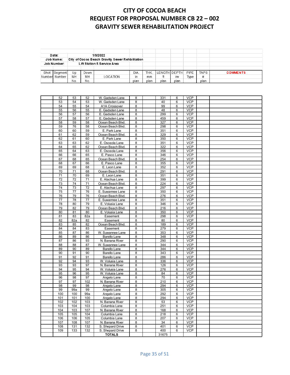|      | Date:                                 |     |      | 1/9/2022                                        |      |            |              |      |      |             |                 |
|------|---------------------------------------|-----|------|-------------------------------------------------|------|------------|--------------|------|------|-------------|-----------------|
|      | Job Name:                             |     |      | City of Cocoa Beach Gravity Sewer Rehbilitation |      |            |              |      |      |             |                 |
|      | Job Number:                           |     |      | <b>Lift Station 5 Service Area</b>              |      |            |              |      |      |             |                 |
|      |                                       |     |      |                                                 |      |            |              |      |      |             |                 |
| Shot | Segment                               | Up  | Down |                                                 | DIA  | <b>THK</b> | LENGTH DEPTH |      | PIPE | <b>TAPS</b> | <b>COMMENTS</b> |
|      | MH<br>Number Number<br>MH<br>LOCATION |     |      |                                                 | in   | mm         |              | inv  | Type | #           |                 |
|      |                                       | No. | No.  |                                                 | plan | plan       | plan         | plan |      | plan        |                 |

| 52         | 53         | 52         | W. Gadsden Lane            | 8      | 331        | 6      | <b>VCP</b>               |  |
|------------|------------|------------|----------------------------|--------|------------|--------|--------------------------|--|
| 53         | 54         | 53         | W. Gadsden Lane            | 8      | 40         | 6      | <b>VCP</b>               |  |
| 54         | 55         | 54         | A1A Crossover              | 8      | 99         | 6      | <b>VCP</b>               |  |
| 55         | 56         | 55         | E. Gadsden Lane            | 8      | 48         | 6      | <b>VCP</b>               |  |
| 56         | 57         | 56         | E. Gadsden Lane            | 8      | 299        | 6      | <b>VCP</b>               |  |
| 57         | 58         | 57         | E. Gadsden Lane            | 8      | 459        | 6      | <b>VCP</b>               |  |
| 58         | 59         | 58         | Ocean Beach Blvd.          | 8      | 327        | 6      | $\overline{VCP}$         |  |
| 59         | 76         | 58         | Ocean Beach Blvd.          | 8      | 298        | 6      | <b>VCP</b>               |  |
| 60         | 60         | 59         | E. Park Lane               | 8      | 351        | 6      | <b>VCP</b>               |  |
| 61         | 62         | 59         | Ocean Beach Blvd.          | 8      | 329        | 6      | <b>VCP</b>               |  |
| 62         | 61         | 60         | E. Park Lane               | 8      | 350        | 6      | <b>VCP</b>               |  |
| 63         | 63         | 62         | E. Osceola Lane            | 8      | 351        | 6      | <b>VCP</b>               |  |
| 64         | 65         | 62         | Ocean Beach Blvd.          | 8      | 322        | 6      | <b>VCP</b>               |  |
| 65         | 64         | 63         | E. Osceola Lane            | 8      | 356        | 6      | <b>VCP</b>               |  |
| 66         | 66         | 65         | E. Pasco Lane              | 8      | 346        | 6      | <b>VCP</b>               |  |
| 67         | 68         | 65         | Ocean Beach Blvd.          | 8      | 254        | 6      | <b>VCP</b>               |  |
| 68         | 67         | 66         | E. Pasco Lane              | 8      | 355        | 6      | <b>VCP</b>               |  |
| 69         | 69         | 68         | E. Leon Lane               | 8      | 352        | 6      | <b>VCP</b>               |  |
| 70         | 71         | 68         | Ocean Beach Blvd.          | 8      | 291        | 6      | <b>VCP</b>               |  |
| 71         | 70         | 69         | E. Leon Lane               | 8      | 351        | 6      | <b>VCP</b>               |  |
| 72         | 72         | 71         | E. Alachua Lane            | 8      | 399        | 6      | <b>VCP</b>               |  |
| 73         | 74         | 71         | Ocean Beach Blvd.          | 8      | 224        | 6      | <b>VCP</b>               |  |
| 74         | 73         | 72         | E. Alachua Lane            | 8      | 297        | 6      | <b>VCP</b>               |  |
| 75         | 77         | 76         | E. Suwannee Lane           | 8      | 350        | 6      | <b>VCP</b>               |  |
| 76         | 79         | 76         | Ocean Beach Blvd.          | 8      | 276        | 6      | <b>VCP</b>               |  |
| 77         | 78         | 77         | E. Suwannee Lane           | 8      | 351        | 6      | <b>VCP</b>               |  |
| 78         | 80         | 79         | E. Volusia Lane            | 8      | 346        | 6      | <b>VCP</b>               |  |
| 79         | 82         | 79         | Ocean Beach Blvd.          | 8      | 216        | 6      | <b>VCP</b>               |  |
| 80         | 81         | 80         | E. Volusia Lane            | 8      | 350        | 6      | <b>VCP</b>               |  |
| 81         | 83         | 82a        | Easement                   | 8      | 298        | 6      | $\overline{V}$ CP        |  |
| 82         | 82a        | 82         | Easement                   | 8      | 80         | 6      | <b>VCP</b>               |  |
| 83         | 85         | 82         | Ocean Beach Blvd.          | 8      | 189        | 6      | <b>VCP</b>               |  |
| 84         | 84         | 83         | Easement                   | 8      | 279        | 6      | <b>VCP</b>               |  |
| 85         | 87         | 86         | W. Suwannee Lane           | 8      | 353        | 6      | <b>VCP</b>               |  |
| 86         | 89         | 86         | <b>Barello Lane</b>        | 8      | 348        | 6      | <b>VCP</b>               |  |
| 87         | 86         | 93         | N. Banana River            | 8      | 290        | 6      | <b>VCP</b>               |  |
| 88         | 88         | 87         | W. Suwannee Lane           | 8      | 344        | 6      | <b>VCP</b>               |  |
| 89         | 90         | 89         | <b>Barello Lane</b>        | 8      | 344        | 6      | <b>VCP</b>               |  |
| 90         | 91         | 90         | <b>Barello Lane</b>        | 8      | 343        | 6      | <b>VCP</b>               |  |
| 91         | 92         | 91         | <b>Barello Lane</b>        | 8      | 286        | 6      | <b>VCP</b>               |  |
| 92         | 94         | 93         | W. Volusia Lane            | 8      | 336        | 6      | <b>VCP</b>               |  |
| 93         | 93         | 97         | N. Banana River            | 8      | 126        | 6      | <b>VCP</b>               |  |
| 94         | 95         | 94         | W. Volusia Lane            | 8      | 276        | 6      | <b>VCP</b>               |  |
| 95         | 96         | 95         | W. Volusia Lane            | 8      | 84         | 6      | <b>VCP</b>               |  |
| 96         | 98         | 97         |                            | 8      | 70         | 6      | <b>VCP</b>               |  |
| 97         | 97         | 102        | Angelo Lane                | 8      | 210        | 6      | <b>VCP</b>               |  |
| 98         | 99         |            | N. Banana River            |        | 294        |        | <b>VCP</b>               |  |
| 99         | 99a        | 98<br>99   | Angelo Lane<br>Angelo Lane | 8<br>8 | 305        | 6<br>6 | <b>VCP</b>               |  |
|            |            |            |                            |        |            |        |                          |  |
| 100<br>101 | 100<br>101 | 99a<br>100 | Angelo Lane                | 8<br>8 | 292<br>294 | 6<br>6 | <b>VCP</b><br><b>VCP</b> |  |
|            |            |            | Angelo Lane                |        |            |        |                          |  |
| 102        | 102<br>104 | 103        | N. Banana River            | 8      | 53         | 6      | <b>VCP</b><br><b>VCP</b> |  |
| 103        |            | 103        | Columbia Lane              | 8      | 251        | 6      |                          |  |
| 104        | 103        | 107        | N. Banana River            | 8      | 168        | 6      | <b>VCP</b>               |  |
| 105        | 105        | 104        | Columbia Lane              | 8      | 218        | 6      | <b>VCP</b>               |  |
| 106        | 106        | 105        | Columbia Lane              | 8      | 207        | 6      | <b>VCP</b>               |  |
| 107        | 108        | 107        | N. Banana River            | 8      | 34         | 6      | <b>VCP</b>               |  |
| 108        | 131        | 132        | S. Shepard Drive           | 8      | 401        | 6      | <b>VCP</b>               |  |
| 109        | 133        | 132        | S. Shepard Drive           | 8      | 400        | 6      | <b>VCP</b>               |  |
|            |            |            | <b>TOTALS</b>              |        | 31675      |        |                          |  |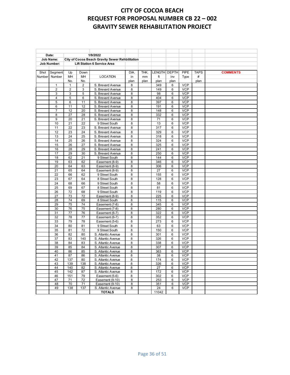| Date:            |                    |                 |                 | 1/9/2022                                        |        |      |              |                 |                          |             |                 |
|------------------|--------------------|-----------------|-----------------|-------------------------------------------------|--------|------|--------------|-----------------|--------------------------|-------------|-----------------|
| <b>Job Name:</b> |                    |                 |                 | City of Cocoa Beach Gravity Sewer Rehbilitation |        |      |              |                 |                          |             |                 |
|                  | <b>Job Number:</b> |                 |                 | <b>Lift Station 6 Service Area</b>              |        |      |              |                 |                          |             |                 |
| Shot             |                    | Up              | Down            |                                                 | DIA.   | THK. | LENGTH DEPTH |                 | <b>PIPE</b>              | <b>TAPS</b> | <b>COMMENTS</b> |
| Number           | Segment<br>Number  | <b>MH</b>       | MH              | <b>LOCATION</b>                                 | in     | mm   | ft           | inv             | Type                     | #           |                 |
|                  |                    | No.             | No.             |                                                 | plan   | plan | plan         | plan            |                          | plan        |                 |
|                  | 1                  | $\mathbf{1}$    | $\overline{2}$  | S. Brevard Avenue                               | 8      |      | 349          | 6               | <b>VCP</b>               |             |                 |
|                  | 2                  | $\overline{2}$  | 3               | S. Brevard Avenue                               | 8      |      | 149          | 6               | <b>VCP</b>               |             |                 |
|                  | 3                  | 3               | 5               | S. Brevard Avenue                               | 8      |      | 98           | 6               | <b>VCP</b>               |             |                 |
|                  | 4                  | 5               | 6               | S. Brevard Avenue                               | 8      |      | 404          | 6               | <b>VCP</b>               |             |                 |
|                  | 5                  | $6\phantom{1}6$ | 11              | S. Brevard Avenue                               | 8      |      | 397          | 6               | <b>VCP</b>               |             |                 |
|                  | 6                  | 11              | 12              | S. Brevard Avenue                               | 8      |      | 191          | 6               | <b>VCP</b>               |             |                 |
|                  | 7                  | 12              | 20              | S. Brevard Avenue                               | 8      |      | 148          | 6               | <b>VCP</b>               |             |                 |
|                  | 8                  | 27              | 28              | S. Brevard Avenue                               | 8      |      | 332          | 6               | <b>VCP</b>               |             |                 |
|                  | 9                  | 20              | 21              | S. Brevard Avenue                               | 8      |      | 71           | 6               | <b>VCP</b>               |             |                 |
|                  | 10                 | $\overline{21}$ | $\overline{22}$ | 9 Street South                                  | 8      |      | 13           | $6\overline{6}$ | <b>VCP</b>               |             |                 |
|                  | 11                 | 22              | 23              | S. Brevard Avenue                               | 8      |      | 317          | 6               | <b>VCP</b>               |             |                 |
|                  | 12                 | 23              | 24              | S. Brevard Avenue                               | 8      |      | 329          | 6               | <b>VCP</b>               |             |                 |
|                  | 13                 | 24              | 25              | S. Brevard Avenue                               | 8      |      | 318          | 6               | <b>VCP</b>               |             |                 |
|                  | 14                 | 25              | 26              | S. Brevard Avenue                               | 8      |      | 324          | 6               | <b>VCP</b>               |             |                 |
|                  | 15                 | 26              | 27              | S. Brevard Avenue                               | 8      |      | 325          | 6               | <b>VCP</b>               |             |                 |
|                  | 16                 | 28              | 29              | S. Brevard Avenue                               | 8      |      | 241          | 6               | <b>VCP</b>               |             |                 |
|                  | 17                 | 29              | 30              | S. Brevard Avenue                               | 8      |      | 250          | 6               | <b>VCP</b>               |             |                 |
|                  | 18                 | 62              | 21              | 9 Street South                                  | 8      |      | 144          | 6               | <b>VCP</b>               |             |                 |
|                  | 19                 | 63              | 62              | Easement (8-9)                                  | 8      |      | 346          | 6               | <b>VCP</b>               |             |                 |
|                  | 20                 | 64              | 63              | Easement (8-9)                                  | 8      |      | 306          | 6               | <b>VCP</b>               |             |                 |
|                  | 21                 | 65              | 64              | Easement (8-9)                                  | 8      |      | 27           | 6               | <b>VCP</b>               |             |                 |
|                  | 22                 | 66              | 62              | 9 Street South                                  | 8      |      | 155          | 6               | <b>VCP</b>               |             |                 |
|                  | 23                 | 67              | 64              | 8 Street South                                  | 8      |      | 128          | 6               | <b>VCP</b>               |             |                 |
|                  | 24                 | 68              | 66              | 9 Street South                                  | 8      |      | 58           | 6               | <b>VCP</b>               |             |                 |
|                  | 25                 | 69              | 67              | 8 Street South                                  | 8      |      | 81           | 6               | <b>VCP</b>               |             |                 |
|                  | 26                 | 72              | 68              | 9 Street South                                  | 8      |      | 119          | 6               | <b>VCP</b>               |             |                 |
|                  | 27                 | 73              | 72              | Easement (8-9)                                  | 8      |      | 225          | 6               | <b>VCP</b>               |             |                 |
|                  | 28                 | 74              | 69              | 8 Street South                                  | 8      |      | 115          | 6               | <b>VCP</b>               |             |                 |
|                  | 29                 | 75              | $\overline{74}$ | Easement (7-8)                                  | 8      |      | 345          | 6               | <b>VCP</b>               |             |                 |
|                  | 30                 | 76              | 75              | Easement (7-8)                                  | 8      |      | 280          | 6               | <b>VCP</b>               |             |                 |
|                  | 31                 | 77              | 76              | Easement (6-7)                                  | 8      |      | 322          | 6               | <b>VCP</b>               |             |                 |
|                  | 32                 | 78              | 77              | Easement (6-7)                                  | 8      |      | 352          | 6               | <b>VCP</b>               |             |                 |
|                  | 33                 | 79              | 78              | Easement (5-6)                                  | 8      |      | 273          | 6               | <b>VCP</b>               |             |                 |
|                  | 34                 | 80              | 81              | 9 Street South                                  | 8      |      | 63           | 6               | <b>VCP</b>               |             |                 |
|                  | 35                 | 81              | 72              | 9 Street South                                  | 8      |      | 150          | 6               | <b>VCP</b>               |             |                 |
|                  | 36                 | 82              | 80              | S. Atlantic Avenue                              | 8      |      | 301          | 6               | <b>VCP</b>               |             |                 |
|                  | 37                 | 83              | 140             | S. Atlantic Avenue                              | 8      |      | 326          | 6               | <b>VCP</b>               |             |                 |
|                  | 38                 | 84              | 83              | S. Atlantic Avenue                              | 8      |      | 338          | 6               | <b>VCP</b>               |             |                 |
|                  | 39                 | 85              | 84              | S. Atlantic Avenue                              | 8      |      | 307          | 6               | <b>VCP</b>               |             |                 |
|                  | 40<br>41           | 86              | 85              | S. Atlantic Avenue                              | 8      |      | 363          | 6<br>6          | <b>VCP</b><br><b>VCP</b> |             |                 |
|                  | 42                 | 87<br>137       | 86<br>80        | S. Atlantic Avenue<br>S. Atlantic Avenue        | 8<br>8 |      | 38<br>174    | 6               | <b>VCP</b>               |             |                 |
|                  | 43                 | 139             | 138             | S. Atlantic Avenue                              | 8      |      | 326          | 6               | <b>VCP</b>               |             |                 |
|                  | 44                 | 140             | 82              | S. Atlantic Avenue                              | 8      |      | 27           | 6               | <b>VCP</b>               |             |                 |
|                  | 45                 | 142             | 87              | S. Atlantic Avenue                              | 8      |      | 172          | 6               | <b>VCP</b>               |             |                 |
|                  | 46                 | 151             | 79              | Easement (5-6)                                  | 8      |      | 302          | 6               | <b>VCP</b>               |             |                 |
|                  | 47                 | 71              | 72              | Easement (9-10)                                 | 8      |      | 253          | 6               | <b>VCP</b>               |             |                 |
|                  | 48                 | 70              | 71              | Easement (9-10)                                 | 8      |      | 351          | 6               | <b>VCP</b>               |             |                 |
|                  | 49                 | 138             | 137             | S. Atlantic Avenue                              | 8      |      | 24           | 6               | <b>VCP</b>               |             |                 |
|                  |                    |                 |                 | <b>TOTALS</b>                                   |        |      | 11042        |                 |                          |             |                 |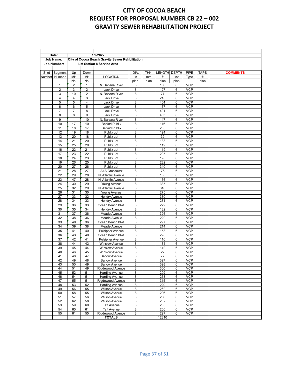| Date:              |                 |                |                                    | 1/9/2022                                        |              |      |               |              |            |             |                 |
|--------------------|-----------------|----------------|------------------------------------|-------------------------------------------------|--------------|------|---------------|--------------|------------|-------------|-----------------|
| <b>Job Name:</b>   |                 |                |                                    | City of Cocoa Beach Gravity Sewer Rehbilitation |              |      |               |              |            |             |                 |
| <b>Job Number:</b> |                 |                | <b>Lift Station 8 Service Area</b> |                                                 |              |      |               |              |            |             |                 |
|                    |                 |                |                                    |                                                 |              |      |               |              |            |             |                 |
| Shot               | Segment         | Up             | Down                               |                                                 | DIA.         | THK. | <b>LENGTH</b> | <b>DEPTH</b> | PIPE       | <b>TAPS</b> | <b>COMMENTS</b> |
| Number             | Number          | MH             | MH                                 | <b>LOCATION</b>                                 | in           | mm   | ft            | inv          | Type       | #           |                 |
|                    |                 | No.            | No.                                |                                                 | plan         | plan | plan          | plan         |            | plan        |                 |
|                    | 1               | 2              | $\mathbf{1}$                       | N. Banana River                                 | 8            |      | 100           | 6            | <b>VCP</b> |             |                 |
|                    | $\overline{2}$  | 3              | $\overline{2}$                     | Jack Drive                                      | 8            |      | 127           | 6            | <b>VCP</b> |             |                 |
|                    | 3               | 10             | 2                                  | N. Banana River                                 | 8            |      | 77            | 6            | <b>VCP</b> |             |                 |
|                    | $\overline{4}$  | $\overline{4}$ | 3                                  | Jack Drive                                      | 8            |      | 215           | 6            | <b>VCP</b> |             |                 |
|                    | 5               | 5              | $\overline{4}$                     | <b>Jack Drive</b>                               | 8            |      | 404           | 6            | <b>VCP</b> |             |                 |
|                    | 6               | 6              | 5                                  | Jack Drive                                      | 8            |      | 167           | 6            | <b>VCP</b> |             |                 |
|                    | $\overline{7}$  | $\overline{7}$ | 8                                  | Jack Drive                                      | 8            |      | 401           | 6            | <b>VCP</b> |             |                 |
|                    | 8               | 8              | 9                                  | Jack Drive                                      | 8            |      | 403           | 6            | <b>VCP</b> |             |                 |
|                    | 9               | 11             | 10                                 | N. Banana River                                 | 8            |      | 147           | 6            | <b>VCP</b> |             |                 |
|                    | 10              | 17             | 10                                 | <b>Behind Publix</b>                            | 8            |      | 116           | 6            | <b>VCP</b> |             |                 |
|                    | 11              | 18             | 17                                 | <b>Behind Publix</b>                            | 8            |      | 205           | 6            | <b>VCP</b> |             |                 |
|                    | 12              | 19             | 18                                 | Publix Lot                                      | 8            |      | 194           | 6            | <b>VCP</b> |             |                 |
|                    | 13              | 20             | 18                                 | Publix Lot                                      | 8            |      | 32            | 6            | <b>VCP</b> |             |                 |
|                    | 14              | 21             | 20                                 | Publix Lot                                      | 8            |      | 138           | 6            | <b>VCP</b> |             |                 |
|                    | 15              | 25             | 20                                 | Publix Lot                                      | 8            |      | 119           | 6            | <b>VCP</b> |             |                 |
|                    | 16              | 22             | 21                                 | Publix Lot                                      | 8            |      | 119           | 6            | <b>VCP</b> |             |                 |
|                    | 17              | 23             | 22                                 | Publix Lot                                      | 8            |      | 205           | 6            | <b>VCP</b> |             |                 |
|                    | 18              | 24             | 23                                 | Publix Lot                                      | 8            |      | 190           | 6            | <b>VCP</b> |             |                 |
|                    | 19              | 26             | 25                                 | Publix Lot                                      | 8            |      | 232           | 6            | <b>VCP</b> |             |                 |
|                    | 20              | 27             | 26                                 | Publix Lot                                      | 8            |      | 340           | 6            | <b>VCP</b> |             |                 |
|                    | 21              | 28             | 27                                 | A1A Crossover                                   | 8            |      | 76            | 6            | <b>VCP</b> |             |                 |
|                    | 22              | 29             | 28                                 | N. Atlantic Avenue                              | 8            |      | 138           | 6            | <b>VCP</b> |             |                 |
|                    | 23              | 47             | 28                                 | N. Atlantic Avenue                              | 8            |      | 166           | 6            | <b>VCP</b> |             |                 |
|                    | $\overline{24}$ | 30             | 29                                 | Young Avenue                                    | 8            |      | 335           | 6            | <b>VCP</b> |             |                 |
|                    | 25              | 32             | 29                                 | N. Atlantic Avenue                              | 8            |      | 316           | 6            | <b>VCP</b> |             |                 |
|                    | 26              | 31             | 30                                 | Young Avenue                                    | 8            |      | 275           | 6            | <b>VCP</b> |             |                 |
|                    | 27              | 33             | 32                                 | <b>Hendry Avenue</b>                            | 8            |      | 380           | 6            | <b>VCP</b> |             |                 |
|                    | 28              | 34             | 33                                 | <b>Hendry Avenue</b>                            | 8            |      | 271           | 6            | <b>VCP</b> |             |                 |
|                    | 29              | 36             | 33                                 | Ocean Beach Blvd.                               | 8            |      | 279           | 6            | <b>VCP</b> |             |                 |
|                    | 30              | 35             | 34                                 | Hendry Avenue                                   | 8            |      | 132           | 6            | <b>VCP</b> |             |                 |
|                    | 31              | 37             | 36                                 | Meade Avenue                                    | 8            |      | 326           | 6            | <b>VCP</b> |             |                 |
|                    | 32              | 38             | 36                                 | Meade Avenue                                    | 8            |      | 220           | 6            | <b>VCP</b> |             |                 |
|                    | 33              | 40             | 36                                 | Ocean Beach Blvd.                               | 8            |      | 297           | 6            | <b>VCP</b> |             |                 |
|                    | 34              | 39             | 38                                 | Meade Avenue                                    | 8            |      | 214           | 6            | <b>VCP</b> |             |                 |
|                    | 35              | 41             | 40                                 | <b>Pulsipher Avenue</b>                         | 8            |      | 158           | 6            | <b>VCP</b> |             |                 |
|                    | 36              | 43             | 40                                 | Ocean Beach Blvd.                               | 8            |      | 296           | 6            | <b>VCP</b> |             |                 |
|                    | 37              | 42             | 41                                 | <b>Pulsipher Avenue</b>                         | 8            |      | 116           | 6            | <b>VCP</b> |             |                 |
|                    | 38              | 44             | 43                                 | <b>Winslow Avenue</b>                           | 8            |      | 184           | 6            | <b>VCP</b> |             |                 |
|                    | 39              | 45             | 44                                 | <b>Winslow Avenue</b>                           | 8            |      | 142           | 6            | <b>VCP</b> |             |                 |
|                    | 40              | 46             | 45                                 | <b>Winslow Avenue</b>                           | 8            |      | 22            | 6            | <b>VCP</b> |             |                 |
|                    | 41              | 48             | 47                                 | <b>Barlow Avenue</b>                            | 8            |      | 77            | 6            | <b>VCP</b> |             |                 |
|                    | 42              | 49             | 48                                 | <b>Barlow Avenue</b>                            | $\mathsf{a}$ |      | 397           | 6            | <b>VCP</b> |             |                 |
|                    | 43              | 50             | 49                                 | <b>Barlow Avenue</b>                            | 8            |      | 398           | 6            | <b>VCP</b> |             |                 |
|                    | 44              | 51             | 49                                 | Rigdewood Avenue                                | 8            |      | 300           | 6            | <b>VCP</b> |             |                 |
|                    | 45              | 52             | 51                                 | <b>Harding Avenue</b>                           | 8            |      | 209           | 6            | <b>VCP</b> |             |                 |
|                    | 46              | 54             | 51                                 | <b>Harding Avenue</b>                           | 8            |      | 238           | 6            | <b>VCP</b> |             |                 |
|                    | 47              | 55             | 51                                 | Rigdewood Avenue                                | 8            |      | 315           | 6            | <b>VCP</b> |             |                 |
|                    | 48              | 53             | 52                                 | <b>Harding Avenue</b>                           | 8            |      | 229           | 6            | <b>VCP</b> |             |                 |
|                    | 49              | 56             | 55                                 | Wilson Avenue                                   | 8            |      | 262           | 6            | <b>VCP</b> |             |                 |
|                    | 50              | 58             | 55                                 | <b>Wilson Avenue</b>                            | 8            |      | 296           | 6            | <b>VCP</b> |             |                 |
|                    | 51              | 57             | 56                                 | <b>Wilson Avenue</b>                            | 8            |      | 266           | 6            | <b>VCP</b> |             |                 |
|                    | 52              | 62             | 58                                 | <b>Wilson Avenue</b>                            | 8            |      | 202           | 6            | <b>VCP</b> |             |                 |
|                    | 53              | 59             | 60                                 | Taft Avenue                                     | 8            |      | 283           | 6            | <b>VCP</b> |             |                 |
|                    | 54              | 60             | 61                                 | Taft Avenue                                     | 8            |      | 266           | 6            | <b>VCP</b> |             |                 |
|                    | 55              | 61             | 55                                 | Rigdewood Avenue                                | 8            |      | 297           | 6            | <b>VCP</b> |             |                 |
|                    |                 |                |                                    | <b>TOTALS</b>                                   |              |      | 12310         |              |            |             |                 |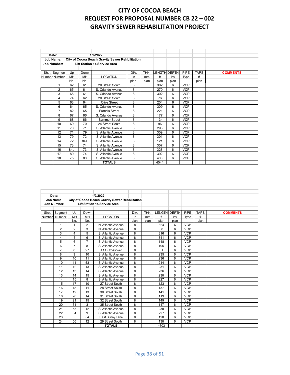| Date:<br><b>Job Name:</b><br><b>Job Number:</b> |                |                                     |      | 1/9/2022<br>City of Cocoa Beach Gravity Sewer Rehbilitation |      |      |      |                     |            |             |                 |
|-------------------------------------------------|----------------|-------------------------------------|------|-------------------------------------------------------------|------|------|------|---------------------|------------|-------------|-----------------|
|                                                 |                | <b>Lift Station 14 Service Area</b> |      |                                                             |      |      |      |                     |            |             |                 |
|                                                 |                |                                     |      |                                                             |      |      |      |                     |            |             |                 |
|                                                 | Shot Segmen    | Up                                  | Down |                                                             | DIA. | THK. |      | <b>LENGTH DEPTH</b> | PIPE       | <b>TAPS</b> | <b>COMMENTS</b> |
|                                                 | Number Number  | MH                                  | MH   | <b>LOCATION</b>                                             | in   | mm   | ft   | inv                 | Type       | #           |                 |
|                                                 |                | No.                                 | No.  |                                                             | plan | plan | plan | plan                |            | plan        |                 |
|                                                 | 1              | 62                                  | 61   | 20 Street South                                             | 8    |      | 302  | 6                   | <b>VCP</b> |             |                 |
|                                                 | $\overline{2}$ | 65                                  | 61   | S. Orlando Avenue                                           | 8    |      | 270  | 6                   | <b>VCP</b> |             |                 |
|                                                 | 3              | 66                                  | 61   | S. Orlando Avenue                                           | 8    |      | 302  | 6                   | <b>VCP</b> |             |                 |
|                                                 | 4              | 74                                  | 62   | 20 Street South                                             | 8    |      | 76   | 6                   | <b>VCP</b> |             |                 |
|                                                 | 5              | 63                                  | 64   | Olive Street                                                | 8    |      | 204  | 6                   | <b>VCP</b> |             |                 |
|                                                 | 6              | 64                                  | 65   | S. Orlando Avenue                                           | 8    |      | 309  | 6                   | <b>VCP</b> |             |                 |
|                                                 | $\overline{7}$ | 82                                  | 65   | <b>Francis Street</b>                                       | 8    |      | 221  | 6                   | <b>VCP</b> |             |                 |
|                                                 | 8              | 67                                  | 66   | S. Orlando Avenue                                           | 8    |      | 177  | 6                   | <b>VCP</b> |             |                 |
|                                                 | 9              | 68                                  | 66   | Summer Street                                               | 8    |      | 134  | 6                   | <b>VCP</b> |             |                 |
|                                                 | 10             | 69                                  | 70   | 24 Street South                                             | 8    |      | 96   | 6                   | <b>VCP</b> |             |                 |
|                                                 | 11             | 70                                  | 71   | S. Atlantic Avenue                                          | 8    |      | 295  | 6                   | <b>VCP</b> |             |                 |
|                                                 | 12             | 71                                  | 79   | S. Atlantic Avenue                                          | 8    |      | 309  | 6                   | <b>VCP</b> |             |                 |
|                                                 | 13             | 79                                  | 72   | S. Atlantic Avenue                                          | 8    |      | 301  | 6                   | <b>VCP</b> |             |                 |
|                                                 | 14             | 72                                  | 84a  | S. Atlantic Avenue                                          | 8    |      | 121  | 6                   | <b>VCP</b> |             |                 |
|                                                 | 15             | 73                                  | 74   | S. Atlantic Avenue                                          | 8    |      | 307  | 6                   | <b>VCP</b> |             |                 |
|                                                 | 16             | 84a                                 | 73   | S. Atlantic Avenue                                          | 8    |      | 328  | 6                   | <b>VCP</b> |             |                 |
|                                                 | 17             | 80                                  | 74   | S. Atlantic Avenue                                          | 8    |      | 392  | 6                   | <b>VCP</b> |             |                 |
|                                                 | 18             | 75                                  | 80   | S. Atlantic Avenue                                          | 8    |      | 400  | 6                   | <b>VCP</b> |             |                 |
|                                                 |                |                                     |      | <b>TOTALS</b>                                               |      |      | 4544 |                     |            |             |                 |

| 1/9/2022<br>Date: |                                                    |                         |                |                                                 |      |      |              |      |            |             |                 |
|-------------------|----------------------------------------------------|-------------------------|----------------|-------------------------------------------------|------|------|--------------|------|------------|-------------|-----------------|
|                   | Job Name:                                          |                         |                | City of Cocoa Beach Gravity Sewer Rehbilitation |      |      |              |      |            |             |                 |
|                   | <b>Lift Station 15 Service Area</b><br>Job Number: |                         |                |                                                 |      |      |              |      |            |             |                 |
|                   |                                                    |                         |                |                                                 |      |      |              |      |            |             |                 |
| Shot              | Segment                                            | Up                      | Down           |                                                 | DIA. | THK. | LENGTH DEPTH |      | PIPE       | <b>TAPS</b> | <b>COMMENTS</b> |
| Number            | Number                                             | MH                      | MH             | <b>LOCATION</b>                                 | in   | mm   | ft           | inv  | Type       | #           |                 |
|                   |                                                    | No.                     | No.            |                                                 | plan | plan | plan         | plan |            | plan        |                 |
|                   | $\mathbf{1}$                                       | 1                       | $\overline{2}$ | N. Atlantic Avenue                              | 8    |      | 324          | 6    | <b>VCP</b> |             |                 |
|                   | $\overline{2}$                                     | $\overline{2}$          | 3              | N. Atlantic Avenue                              | 8    |      | 58           | 6    | <b>VCP</b> |             |                 |
|                   | 3                                                  | $\overline{\mathbf{4}}$ | 5              | S. Atlantic Avenue                              | 8    |      | 316          | 6    | <b>VCP</b> |             |                 |
|                   | 4                                                  | 5                       | 6              | S. Atlantic Avenue                              | 8    |      | 341          | 6    | <b>VCP</b> |             |                 |
|                   | 5                                                  | 6                       | $\overline{7}$ | S. Atlantic Avenue                              | 8    |      | 148          | 6    | <b>VCP</b> |             |                 |
|                   | 6                                                  | $\overline{7}$          | 8              | S. Atlantic Avenue                              | 8    |      | 195          | 6    | <b>VCP</b> |             |                 |
|                   | $\overline{7}$                                     | 8                       | 27             | A1A Crossover                                   | 8    |      | 81           | 6    | <b>VCP</b> |             |                 |
|                   | 8                                                  | 9                       | 10             | S. Atlantic Avenue                              | 8    |      | 235          | 6    | <b>VCP</b> |             |                 |
|                   | 9                                                  | 10                      | 11             | S. Atlantic Avenue                              | 8    |      | 236          | 6    | <b>VCP</b> |             |                 |
|                   | 10                                                 | 11                      | 53             | S. Atlantic Avenue                              | 8    |      | 214          | 6    | <b>VCP</b> |             |                 |
|                   | 11                                                 | 12                      | 13             | S. Atlantic Avenue                              | 8    |      | 231          | 6    | <b>VCP</b> |             |                 |
|                   | 12                                                 | 13                      | 14             | S. Atlantic Avenue                              | 8    |      | 236          | 6    | <b>VCP</b> |             |                 |
|                   | 13                                                 | 14                      | 15             | S. Atlantic Avenue                              | 8    |      | 230          | 6    | <b>VCP</b> |             |                 |
|                   | 14                                                 | 15                      | 8              | S. Atlantic Avenue                              | 8    |      | 227          | 6    | <b>VCP</b> |             |                 |
|                   | 15                                                 | 17                      | 10             | 27 Street South                                 | 8    |      | 123          | 6    | <b>VCP</b> |             |                 |
|                   | 16                                                 | 18                      | 11             | 28 Street South                                 | 8    |      | 137          | 6    | <b>VCP</b> |             |                 |
|                   | 17                                                 | 19                      | 13             | 30 Street South                                 | 8    |      | 141          | 6    | <b>VCP</b> |             |                 |
|                   | 18                                                 | 20                      | 14             | 31 Street South                                 | 8    |      | 119          | 6    | <b>VCP</b> |             |                 |
|                   | 19                                                 | 21                      | 15             | 32 Street South                                 | 8    |      | 149          | 6    | <b>VCP</b> |             |                 |
|                   | 20                                                 | 51                      | 3              | 35 Street South                                 | 8    |      | 147          | 6    | <b>VCP</b> |             |                 |
|                   | 21                                                 | 53                      | 12             | S. Atlantic Avenue                              | 8    |      | 230          | 6    | <b>VCP</b> |             |                 |
|                   | 22                                                 | 54                      | 9              | S. Atlantic Avenue                              | 8    |      | 227          | 6    | <b>VCP</b> |             |                 |
|                   | 23                                                 | 55                      | 54             | East Sunny Lane                                 | 8    |      | 120          | 6    | <b>VCP</b> |             |                 |
|                   | 24                                                 | 56                      | 12             | 29 Street South                                 | 8    |      | 138          | 6    | <b>VCP</b> |             |                 |
|                   |                                                    |                         |                | <b>TOTALS</b>                                   |      |      | 4603         |      |            |             |                 |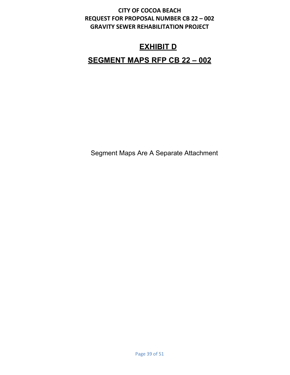# **EXHIBIT D**

# **SEGMENT MAPS RFP CB 22 – 002**

Segment Maps Are A Separate Attachment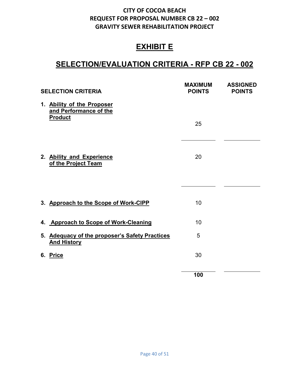# **EXHIBIT E**

# **SELECTION/EVALUATION CRITERIA - RFP CB 22 - 002**

|          | <b>SELECTION CRITERIA</b>                                              | <b>MAXIMUM</b><br><b>POINTS</b> | <b>ASSIGNED</b><br><b>POINTS</b> |
|----------|------------------------------------------------------------------------|---------------------------------|----------------------------------|
|          | 1. Ability of the Proposer<br>and Performance of the<br><b>Product</b> |                                 |                                  |
|          |                                                                        | 25                              |                                  |
|          | 2. Ability and Experience<br>of the Project Team                       | 20                              |                                  |
|          |                                                                        |                                 |                                  |
|          | 3. Approach to the Scope of Work-CIPP                                  | 10                              |                                  |
|          | 4. Approach to Scope of Work-Cleaning                                  | 10                              |                                  |
|          | 5. Adequacy of the proposer's Safety Practices<br><b>And History</b>   | 5                               |                                  |
| 6. Price |                                                                        | 30                              |                                  |
|          |                                                                        | 100                             |                                  |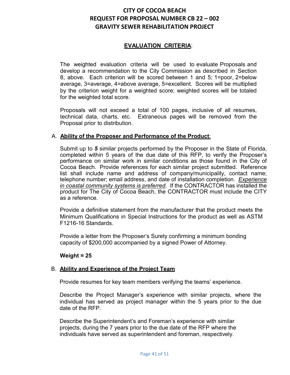### **EVALUATION CRITERIA**:

The weighted evaluation criteria will be used to evaluate Proposals and develop a recommendation to the City Commission as described in Section 8, above. Each criterion will be scored between 1 and 5; 1=poor, 2=below average, 3=average, 4=above average, 5=excellent. Scores will be multiplied by the criterion weight for a weighted score; weighted scores will be totaled for the weighted total score.

Proposals will not exceed a total of 100 pages, inclusive of all resumes, technical data, charts, etc. Extraneous pages will be removed from the Proposal prior to distribution.

### A. **Ability of the Proposer and Performance of the Product**:

Submit up to *5* similar projects performed by the Proposer in the State of Florida, completed within 5 years of the due date of this RFP, to verify the Proposer's performance on similar work in similar conditions as those found in the City of Cocoa Beach. Provide references for each similar project submitted. Reference list shall include name and address of company/municipality, contact name; telephone number; email address, and date of installation completion. *Experience in coastal community systems is preferred.* If the CONTRACTOR has installed the product for The City of Cocoa Beach, the CONTRACTOR must include the CITY as a reference.

Provide a definitive statement from the manufacturer that the product meets the Minimum Qualifications in Special Instructions for the product as well as ASTM F1216-16 Standards.

Provide a letter from the Proposer's Surety confirming a minimum bonding capacity of \$200,000 accompanied by a signed Power of Attorney.

### **Weight = 25**

### B. **Ability and Experience of the Project Team**

Provide resumes for key team members verifying the teams' experience.

Describe the Project Manager's experience with similar projects, where the individual has served as project manager within the 5 years prior to the due date of the RFP.

Describe the Superintendent's and Foreman's experience with similar projects, during the 7 years prior to the due date of the RFP where the individuals have served as superintendent and foreman, respectively.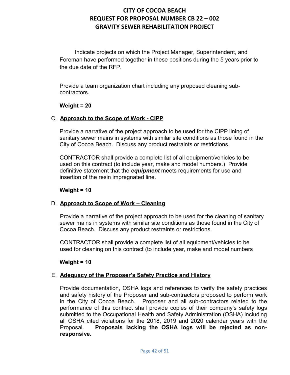Indicate projects on which the Project Manager, Superintendent, and Foreman have performed together in these positions during the 5 years prior to the due date of the RFP.

Provide a team organization chart including any proposed cleaning subcontractors.

### **Weight = 20**

### C. **Approach to the Scope of Work - CIPP**

Provide a narrative of the project approach to be used for the CIPP lining of sanitary sewer mains in systems with similar site conditions as those found in the City of Cocoa Beach. Discuss any product restraints or restrictions.

CONTRACTOR shall provide a complete list of all equipment/vehicles to be used on this contract (to include year, make and model numbers.) Provide definitive statement that the *equipment* meets requirements for use and insertion of the resin impregnated line.

### **Weight = 10**

### D. **Approach to Scope of Work – Cleaning**

Provide a narrative of the project approach to be used for the cleaning of sanitary sewer mains in systems with similar site conditions as those found in the City of Cocoa Beach. Discuss any product restraints or restrictions.

CONTRACTOR shall provide a complete list of all equipment/vehicles to be used for cleaning on this contract (to include year, make and model numbers

### **Weight = 10**

### E. **Adequacy of the Proposer's Safety Practice and History**

Provide documentation, OSHA logs and references to verify the safety practices and safety history of the Proposer and sub-contractors proposed to perform work in the City of Cocoa Beach. Proposer and all sub-contractors related to the performance of this contract shall provide copies of their company's safety logs submitted to the Occupational Health and Safety Administration (OSHA) including all OSHA cited violations for the 2018, 2019 and 2020 calendar years with the Proposal. **Proposals lacking the OSHA logs will be rejected as nonresponsive.**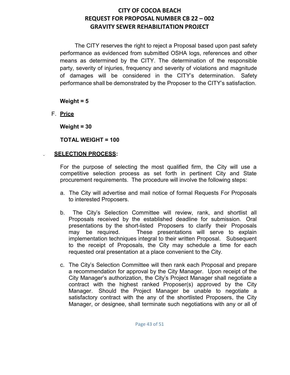The CITY reserves the right to reject a Proposal based upon past safety performance as evidenced from submitted OSHA logs, references and other means as determined by the CITY. The determination of the responsible party, severity of injuries, frequency and severity of violations and magnitude of damages will be considered in the CITY's determination. Safety performance shall be demonstrated by the Proposer to the CITY's satisfaction.

**Weight = 5**

F. **Price**

**Weight = 30**

**TOTAL WEIGHT = 100**

### . **SELECTION PROCESS:**

For the purpose of selecting the most qualified firm, the City will use a competitive selection process as set forth in pertinent City and State procurement requirements. The procedure will involve the following steps:

- a. The City will advertise and mail notice of formal Requests For Proposals to interested Proposers.
- b. The City's Selection Committee will review, rank, and shortlist all Proposals received by the established deadline for submission. Oral presentations by the short-listed Proposers to clarify their Proposals may be required. These presentations will serve to explain implementation techniques integral to their written Proposal. Subsequent to the receipt of Proposals, the City may schedule a time for each requested oral presentation at a place convenient to the City.
- c. The City's Selection Committee will then rank each Proposal and prepare a recommendation for approval by the City Manager. Upon receipt of the City Manager's authorization, the City's Project Manager shall negotiate a contract with the highest ranked Proposer(s) approved by the City Manager. Should the Project Manager be unable to negotiate a satisfactory contract with the any of the shortlisted Proposers, the City Manager, or designee, shall terminate such negotiations with any or all of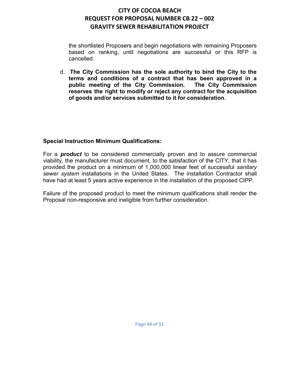the shortlisted Proposers and begin negotiations with remaining Proposers based on ranking, until negotiations are successful or this RFP is cancelled.

d. **The City Commission has the sole authority to bind the City to the terms and conditions of a contract that has been approved in a public meeting of the City Commission. The City Commission reserves the right to modify or reject any contract for the acquisition of goods and/or services submitted to it for consideration**.

### **Special Instruction Minimum Qualifications:**

For a *product* to be considered commercially proven and to assure commercial viability, the manufacturer must document, to the satisfaction of the CITY, that it has provided the product on a minimum of 1,000,000 linear feet of successful *sanitary sewer system* installations in the United States. The installation Contractor shall have had at least 5 years active experience in the installation of the proposed CIPP.

Failure of the proposed product to meet the minimum qualifications shall render the Proposal non-responsive and ineligible from further consideration.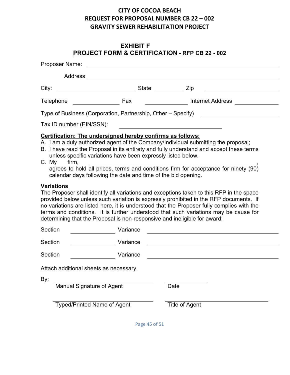# **EXHIBIT F PROJECT FORM & CERTIFICATION - RFP CB 22 - 002**

| Proposer Name:                                                                    |                                                                                                                                                                                             |                                                                                                                                                                                                                                                                                                                                                                        |
|-----------------------------------------------------------------------------------|---------------------------------------------------------------------------------------------------------------------------------------------------------------------------------------------|------------------------------------------------------------------------------------------------------------------------------------------------------------------------------------------------------------------------------------------------------------------------------------------------------------------------------------------------------------------------|
| <b>Address</b>                                                                    |                                                                                                                                                                                             |                                                                                                                                                                                                                                                                                                                                                                        |
| City:                                                                             | <b>State</b>                                                                                                                                                                                | Zip                                                                                                                                                                                                                                                                                                                                                                    |
| Telephone                                                                         | Fax                                                                                                                                                                                         | <b>Internet Address</b>                                                                                                                                                                                                                                                                                                                                                |
|                                                                                   | Type of Business (Corporation, Partnership, Other – Specify)                                                                                                                                |                                                                                                                                                                                                                                                                                                                                                                        |
| Tax ID number (EIN/SSN):                                                          |                                                                                                                                                                                             |                                                                                                                                                                                                                                                                                                                                                                        |
| C. My<br>firm,                                                                    | Certification: The undersigned hereby confirms as follows:<br>unless specific variations have been expressly listed below.<br>calendar days following the date and time of the bid opening. | A. I am a duly authorized agent of the Company/Individual submitting the proposal;<br>B. I have read the Proposal in its entirety and fully understand and accept these terms<br>agrees to hold all prices, terms and conditions firm for acceptance for ninety (90)                                                                                                   |
| <b>Variations</b>                                                                 | determining that the Proposal is non-responsive and ineligible for award:                                                                                                                   | The Proposer shall identify all variations and exceptions taken to this RFP in the space<br>provided below unless such variation is expressly prohibited in the RFP documents. If<br>no variations are listed here, it is understood that the Proposer fully complies with the<br>terms and conditions. It is further understood that such variations may be cause for |
| Section                                                                           | Variance                                                                                                                                                                                    |                                                                                                                                                                                                                                                                                                                                                                        |
| Section                                                                           | Variance                                                                                                                                                                                    |                                                                                                                                                                                                                                                                                                                                                                        |
| Section                                                                           | Variance                                                                                                                                                                                    |                                                                                                                                                                                                                                                                                                                                                                        |
| Attach additional sheets as necessary.<br>By:<br><b>Manual Signature of Agent</b> |                                                                                                                                                                                             | Date                                                                                                                                                                                                                                                                                                                                                                   |
|                                                                                   | <b>Typed/Printed Name of Agent</b>                                                                                                                                                          | <b>Title of Agent</b>                                                                                                                                                                                                                                                                                                                                                  |

Page 45 of 51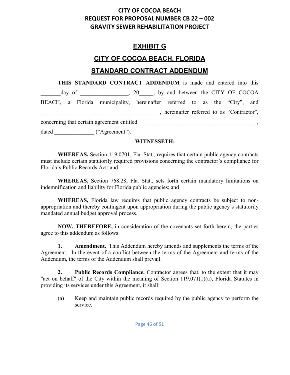# **EXHIBIT G**

# **CITY OF COCOA BEACH, FLORIDA**

### **STANDARD CONTRACT ADDENDUM**

**THIS STANDARD CONTRACT ADDENDUM** is made and entered into this day of  $\qquad \qquad , 20 \qquad , by$  and between the CITY OF COCOA BEACH, a Florida municipality, hereinafter referred to as the "City", and \_\_\_\_\_\_\_\_\_\_\_\_\_\_\_\_\_\_\_\_\_\_\_\_\_\_\_\_\_\_\_\_\_\_\_\_\_\_\_\_\_\_, hereinafter referred to as "Contractor", concerning that certain agreement entitled \_\_\_\_\_\_\_\_\_\_\_\_\_\_\_\_\_\_\_\_\_\_\_\_\_\_\_\_\_\_\_\_\_\_\_\_\_\_\_\_\_,

dated ("Agreement").

### **WITNESSETH:**

**WHEREAS,** Section 119.0701, Fla. Stat., requires that certain public agency contracts must include certain statutorily required provisions concerning the contractor's compliance for Florida's Public Records Act; and

**WHEREAS,** Section 768.28, Fla. Stat., sets forth certain mandatory limitations on indemnification and liability for Florida public agencies; and

**WHEREAS,** Florida law requires that public agency contracts be subject to nonappropriation and thereby contingent upon appropriation during the public agency's statutorily mandated annual budget approval process.

**NOW, THEREFORE,** in consideration of the covenants set forth herein, the parties agree to this addendum as follows:

**1. Amendment.** This Addendum hereby amends and supplements the terms of the Agreement. In the event of a conflict between the terms of the Agreement and terms of the Addendum, the terms of the Addendum shall prevail.

**2. Public Records Compliance.** Contractor agrees that, to the extent that it may "act on behalf" of the City within the meaning of Section 119.071(1)(a), Florida Statutes in providing its services under this Agreement, it shall:

(a) Keep and maintain public records required by the public agency to perform the service.

Page 46 of 51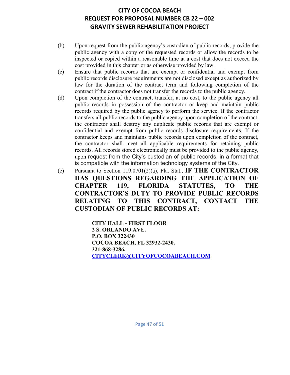- (b) Upon request from the public agency's custodian of public records, provide the public agency with a copy of the requested records or allow the records to be inspected or copied within a reasonable time at a cost that does not exceed the cost provided in this chapter or as otherwise provided by law.
- (c) Ensure that public records that are exempt or confidential and exempt from public records disclosure requirements are not disclosed except as authorized by law for the duration of the contract term and following completion of the contract if the contractor does not transfer the records to the public agency.
- (d) Upon completion of the contract, transfer, at no cost, to the public agency all public records in possession of the contractor or keep and maintain public records required by the public agency to perform the service. If the contractor transfers all public records to the public agency upon completion of the contract, the contractor shall destroy any duplicate public records that are exempt or confidential and exempt from public records disclosure requirements. If the contractor keeps and maintains public records upon completion of the contract, the contractor shall meet all applicable requirements for retaining public records. All records stored electronically must be provided to the public agency, upon request from the City's custodian of public records, in a format that is compatible with the information technology systems of the City.
- (e) Pursuant to Section 119.0701(2)(a), Fla. Stat., **IF THE CONTRACTOR HAS QUESTIONS REGARDING THE APPLICATION OF CHAPTER 119, FLORIDA STATUTES, TO THE CONTRACTOR'S DUTY TO PROVIDE PUBLIC RECORDS RELATING TO THIS CONTRACT, CONTACT THE CUSTODIAN OF PUBLIC RECORDS AT:**

**CITY HALL - FIRST FLOOR 2 S. ORLANDO AVE. P.O. BOX 322430 COCOA BEACH, FL 32932-2430. 321-868-3286, [CITYCLERK@CITYOFCOCOABEACH.COM](mailto:CITYCLERK@CITYOFCOCOABEACH.COM)**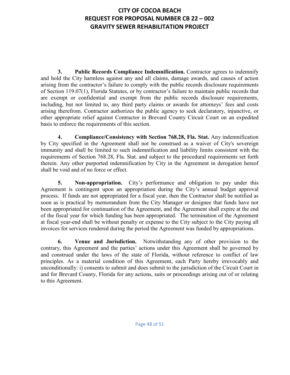**3. Public Records Compliance Indemnification.** Contractor agrees to indemnify and hold the City harmless against any and all claims, damage awards, and causes of action arising from the contractor's failure to comply with the public records disclosure requirements of Section 119.07(1), Florida Statutes, or by contractor's failure to maintain public records that are exempt or confidential and exempt from the public records disclosure requirements, including, but not limited to, any third party claims or awards for attorneys' fees and costs arising therefrom. Contractor authorizes the public agency to seek declaratory, injunctive, or other appropriate relief against Contractor in Brevard County Circuit Court on an expedited basis to enforce the requirements of this section.

**4. Compliance/Consistency with Section 768.28, Fla. Stat.** Any indemnification by City specified in the Agreement shall not be construed as a waiver of City's sovereign immunity and shall be limited to such indemnification and liability limits consistent with the requirements of Section 768.28, Fla. Stat. and subject to the procedural requirements set forth therein. Any other purported indemnification by City in the Agreement in derogation hereof shall be void and of no force or effect.

**5. Non-appropriation.** City's performance and obligation to pay under this Agreement is contingent upon an appropriation during the City's annual budget approval process. If funds are not appropriated for a fiscal year, then the Contractor shall be notified as soon as is practical by memorandum from the City Manager or designee that funds have not been appropriated for continuation of the Agreement, and the Agreement shall expire at the end of the fiscal year for which funding has been appropriated. The termination of the Agreement at fiscal year-end shall be without penalty or expense to the City subject to the City paying all invoices for services rendered during the period the Agreement was funded by appropriations.

**6. Venue and Jurisdiction.** Notwithstanding any of other provision to the contrary, this Agreement and the parties' actions under this Agreement shall be governed by and construed under the laws of the state of Florida, without reference to conflict of law principles. As a material condition of this Agreement, each Party hereby irrevocably and unconditionally: i) consents to submit and does submit to the jurisdiction of the Circuit Court in and for Brevard County, Florida for any actions, suits or proceedings arising out of or relating to this Agreement.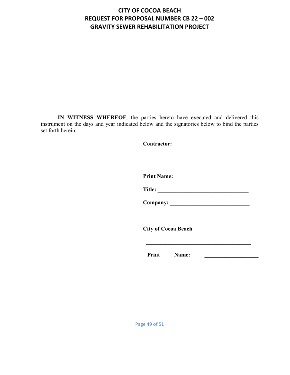**IN WITNESS WHEREOF**, the parties hereto have executed and delivered this instrument on the days and year indicated below and the signatories below to bind the parties set forth herein.

 **Contractor:**

**Print Name: \_\_\_\_\_\_\_\_\_\_\_\_\_\_\_\_\_\_\_\_\_\_\_\_\_\_** 

 **\_\_\_\_\_\_\_\_\_\_\_\_\_\_\_\_\_\_\_\_\_\_\_\_\_\_\_\_\_\_\_\_\_\_\_\_\_** 

 **Title: \_\_\_\_\_\_\_\_\_\_\_\_\_\_\_\_\_\_\_\_\_\_\_\_\_\_\_\_\_\_\_\_** 

 **Company: \_\_\_\_\_\_\_\_\_\_\_\_\_\_\_\_\_\_\_\_\_\_\_\_\_\_\_\_** 

 **City of Cocoa Beach** 

**Print Name:** 2008.

 $\frac{1}{2}$  , and the set of  $\frac{1}{2}$  , and the set of  $\frac{1}{2}$  , and  $\frac{1}{2}$  , and  $\frac{1}{2}$  , and  $\frac{1}{2}$  , and  $\frac{1}{2}$  , and  $\frac{1}{2}$